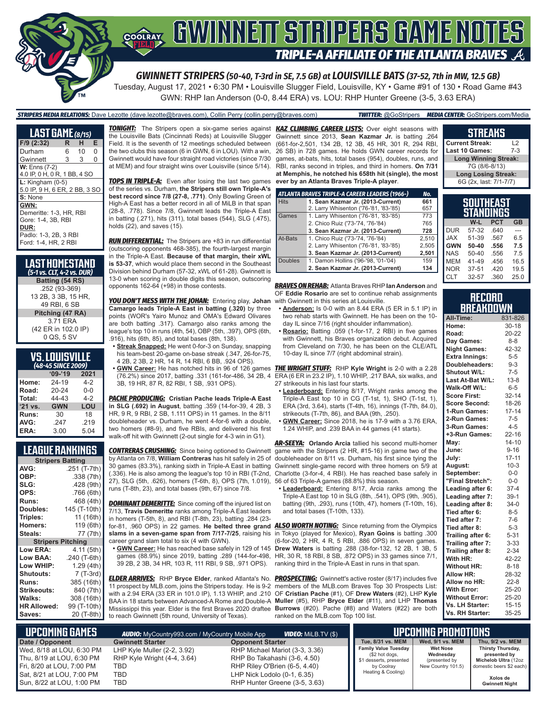

*GWINNETT STRIPERS (50-40, T-3rd in SE, 7.5 GB) at LOUISVILLE BATS (37-52, 7th in MW, 12.5 GB)*

Tuesday, August 17, 2021 • 6:30 PM • Louisville Slugger Field, Louisville, KY • Game #91 of 130 • Road Game #43 GWN: RHP Ian Anderson (0-0, 8.44 ERA) vs. LOU: RHP Hunter Greene (3-5, 3.63 ERA)

#### *STRIPERS MEDIA RELATIONS:* Dave Lezotte (dave.lezotte@braves.com), Collin Perry (collin.perry@braves.com) *TWITTER:* @GoStripers *MEDIA CENTER:* GoStripers.com/Media

| <b>LAST GAME</b> (8/15)                               |   |    |   |
|-------------------------------------------------------|---|----|---|
| F/9 (2:32)                                            | R | н  | E |
| Durham                                                | 6 | 10 | 0 |
| Gwinnett                                              | 3 | 3  | 0 |
| <b>W:</b> Enns (7-2)<br>4.0 IP, 0 H, 0 R, 1 BB, 4 SO  |   |    |   |
| $L:$ Kingham (0-5)<br>5.0 IP, 9 H, 6 ER, 2 BB, 3 SO   |   |    |   |
| S: None<br>GWN:                                       |   |    |   |
| Demeritte: 1-3. HR. RBI<br>Gore: 1-4, 3B, RBI         |   |    |   |
| DUR:<br>Padlo: 1-3, 2B, 3 RBI<br>Ford: 1-4, HR, 2 RBI |   |    |   |

| ILAST HOMESTAND<br>(5-1 vs. CLT, 4-2 vs. DUR) |
|-----------------------------------------------|
| Batting (54 RS)                               |
| .252 (93-369)                                 |
| 13 2B, 3 3B, 15 HR,                           |
| 49 RBI, 6 SB                                  |
| Pitching (47 RA)                              |
| 3.71 ERA                                      |
| (42 ER in 102.0 IP)                           |
| 0 QS, 5 SV                                    |

#### **VS. LOUISVILLE**

|         | (48-45 SINCE 2009) |         |
|---------|--------------------|---------|
|         | $'09-'19$          | 2021    |
| Home:   | 24-19              | $4-2$   |
| Road:   | 20-24              | $0 - 0$ |
| Total:  | 44-43              | $4-2$   |
| '21 vs. | <b>GWN</b>         | LOU     |
| Runs:   | 30                 | 18      |
| AVG:    | .247               | .219    |
| ERA:    | 3.00               | 5.04    |

#### **LEAGUE RANKINGS**

| <b>Stripers Batting</b>  |              |
|--------------------------|--------------|
| AVG:                     | .251 (T-7th) |
| OBP:                     | .338 (7th)   |
| SLG:                     | .428 (9th)   |
| OPS:                     | .766 (6th)   |
| <b>Runs:</b>             | 468 (4th)    |
| Doubles:                 | 145 (T-10th) |
| Triples:                 | 11 (16th)    |
| <b>Homers:</b>           | 119 (6th)    |
| Steals:                  | 77 (7th)     |
| <b>Stripers Pitching</b> |              |
| <b>Low ERA:</b>          | 4.11 (5th)   |
| Low BAA:                 | .240 (T-6th) |
| Low WHIP:                | 1.29 (4th)   |
| <b>Shutouts:</b>         | 7 (T-3rd)    |
| <b>Runs:</b>             | 385 (16th)   |
| Strikeouts:              | 840 (7th)    |
| Walks:                   | 308 (16th)   |
| <b>HR Allowed:</b>       | 99 (T-10th)  |
| Saves:                   | 20 (T-8th)   |
|                          |              |

*TONIGHT:* The Stripers open a six-game series against *KAZ CLIMBING CAREER LISTS:* Over eight seasons with the Louisville Bats (Cincinnati Reds) at Louisville Slugger Field. It is the seventh of 12 meetings scheduled between the two clubs this season (6 in GWN, 6 in LOU). With a win, Gwinnett would have four straight road victories (since 7/30 at MEM) and four straight wins over Louisville (since 5/14).

**TOPS IN TRIPLE-A:** Even after losing the last two games of the series vs. Durham, **the Stripers still own Triple-A's best record since 7/8 (27-8, .771)**. Only Bowling Green of High-A East has a better record in all of MiLB in that span (28-8, .778). Since 7/8, Gwinnett leads the Triple-A East in batting (.271), hits (311), total bases (544), SLG (.475), holds (22), and saves (15).

*RUN DIFFERENTIAL:* The Stripers are +83 in run differential (outscoring opponents 468-385), the fourth-largest margin in the Triple-A East. **Because of that margin, their xWL is 53-37**, which would place them second in the Southeast Division behind Durham (57-32, xWL of 61-28). Gwinnett is 13-0 when scoring in double digits this season, outscoring opponents 162-64 (+98) in those contests.

*YOU DON'T MESS WITH THE JOHAN:* Entering play, **Johan Camargo leads Triple-A East in batting (.320)** by three points (WOR's Yairo Munoz and OMA's Edward Olivares are both batting .317). Camargo also ranks among the league's top 10 in runs (4th, 54), OBP (5th, .397), OPS (6th, .916), hits (6th, 85), and total bases (8th, 138).

- **• Streak Snapped:** He went 0-for-3 on Sunday, snapping his team-best 20-game on-base streak (.347, 26-for-75, 4 2B, 2 3B, 2 HR, 14 R, 14 RBI, 6 BB, .924 OPS).
- 3B, 19 HR, 87 R, 82 RBI, 1 SB, .931 OPS).

*PACHE PRODUCING:* **Cristian Pache leads Triple-A East in SLG (.692) in August**, batting .359 (14-for-39, 4 2B, 3 HR, 9 R, 9 RBI, 2 SB, 1.111 OPS) in 11 games. In the 8/11 doubleheader vs. Durham, he went 4-for-6 with a double, two homers (#8-9), and five RBIs, and delivered his first walk-off hit with Gwinnett (2-out single for 4-3 win in G1).

by Atlanta on 7/8, **William Contreras** has hit safely in 25 of 30 games (83.3%), ranking sixth in Triple-A East in batting 27), SLG (5th, .626), homers (T-6th, 8), OPS (7th, 1.019), runs (T-8th, 23), and total bases (9th, 67) since 7/8.

**DOMINANT DEMERITTE:** Since coming off the injured list on 7/13, **Travis Demeritte** ranks among Triple-A East leaders in homers (T-5th, 8), and RBI (T-8th, 23), batting .284 (23 for-81, .960 OPS) in 22 games. **He belted three grand**  *ALSO WORTH NOTING:* Since returning from the Olympics **slams in a seven-game span from 7/17-7/25**, raising his career grand slam total to six (4 with GWN).

39 2B, 2 3B, 34 HR, 103 R, 111 RBI, 9 SB, .971 OPS).

*ELDER ARRIVES:* RHP **Bryce Elder**, ranked Atlanta's No. *PROSPECTING:* Gwinnett's active roster (8/17) includes five 11 prospect by MLB.com, joins the Stripers today. He is 9-2 members of the MLB.com Braves Top 30 Prospects List: with a 2.94 ERA (33 ER in 101.0 IP), 1.13 WHIP, and .210 OF **Cristian Pache** (#1), OF **Drew Waters** (#2), LHP **Kyle**  BAA in 18 starts between Advanced-A Rome and Double-A **Muller** (#5), RHP **Bryce Elder** (#11), and LHP **Thomas**  Mississippi this year. Elder is the first Braves 2020 draftee **Burrows** (#20). Pache (#8) and Waters (#22) are both to reach Gwinnett (5th round, University of Texas).

Gwinnett since 2013, **Sean Kazmar Jr.** is batting .264 (661-for-2,501, 134 2B, 12 3B, 45 HR, 301 R, 294 RBI, 26 SB) in 728 games. He holds GWN career records for games, at-bats, hits, total bases (954), doubles, runs, and RBI, ranks second in triples, and third in homers. **On 7/31 at Memphis, he notched his 658th hit (single), the most ever by an Atlanta Braves Triple-A player**.

|                | ATLANTA BRAVES TRIPLE-A CAREER LEADERS (1966-) | No.   |
|----------------|------------------------------------------------|-------|
| <b>Hits</b>    | 1. Sean Kazmar Jr. (2013-Current)              | 661   |
|                | 2. Larry Whisenton ('76-'81, '83-'85)          | 657   |
| Games          | 1. Larry Whisenton ('76-'81, '83-'85)          | 773   |
|                | 2. Chico Ruiz ('73-'74, '76-'84)               | 765   |
|                | 3. Sean Kazmar Jr. (2013-Current)              | 728   |
| At-Bats        | 1. Chico Ruiz ('73-'74, '76-'84)               | 2.510 |
|                | 2. Larry Whisenton ('76-'81, '83-'85)          | 2,505 |
|                | 3. Sean Kazmar Jr. (2013-Current)              | 2,501 |
| <b>Doubles</b> | 1. Damon Hollins ('96-'98, '01-'04)            | 159   |
|                | 2. Sean Kazmar Jr. (2013-Current)              | 134   |

*BRAVES ON REHAB:* Atlanta Braves RHP **Ian Anderson** and OF **Eddie Rosario** are set to continue rehab assignments with Gwinnett in this series at Louisville.

- **• Anderson:** Is 0-0 with an 8.44 ERA (5 ER in 5.1 IP) in two rehab starts with Gwinnett. He has been on the 10 day IL since 7/16 (right shoulder inflammation).
- **• Rosario:** Batting .059 (1-for-17, 2 RBI) in five games with Gwinnett, his Braves organization debut. Acquired from Cleveland on 7/30, he has been on the CLE/ATL 10-day IL since 7/7 (right abdominal strain).

**• GWN Career:** He has notched hits in 96 of 126 games *THE WRIGHT STUFF:* RHP **Kyle Wright** is 2-0 with a 2.28 (76.2%) since 2017, batting .331 (161-for-486, 34 2B, 4 ERA (6 ER in 23.2 IP), 1.10 WHIP, .217 BAA, six walks, and 27 strikeouts in his last four starts.

- **• Leaderboard:** Entering 8/17, Wright ranks among the Triple-A East top 10 in CG (T-1st, 1), SHO (T-1st, 1), ERA (3rd, 3.64), starts (T-4th, 16), innings (T-7th, 84.0), strikeouts (T-7th, 86), and BAA (9th, .250).
- **• GWN Career:** Since 2018, he is 17-9 with a 3.76 ERA, 1.24 WHIP, and .239 BAA in 44 games (41 starts).

*CONTRERAS CRUSHING:* Since being optioned to Gwinnett game with the Stripers (2 HR, #15-16) in game two of the (.336). He is also among the league's top 10 in RBI (T-2nd, Charlotte (3-for-4, 4 RBI). He has reached base safely in *AR-SEEYA:* **Orlando Arcia** tallied his second multi-homer doubleheader on 8/11 vs. Durham, his first since tying the Gwinnett single-game record with three homers on 5/9 at 56 of 63 Triple-A games (88.8%) this season.

**• Leaderboard:** Entering 8/17, Arcia ranks among the Triple-A East top 10 in SLG (8th, .541), OPS (9th, .905), batting (9th, .293), runs (10th, 47), homers (T-10th, 16), and total bases (T-10th, 133).

**• GWN Career:** He has reached base safely in 129 of 145 **Drew Waters** is batting .288 (38-for-132, 12 2B, 1 3B, 5 games (88.9%) since 2019, batting .289 (144-for-498, HR, 30 R, 18 RBI, 8 SB, .872 OPS) in 33 games since 7/1, in Tokyo (played for Mexico), **Ryan Goins** is batting .300 (6-for-20, 2 HR, 4 R, 5 RBI, .886 OPS) in seven games. ranking third in the Triple-A East in runs in that span.

ranked on the MLB.com Top 100 list.

#### **SOUTHEAST Current Streak:** L2 **Last 10 Games: Long Winning Streak:** 7G (8/6-8/13) **Long Losing Streak:** 6G (2x, last: 7/1-7/7)

**STREAKS**

|            | STANDINGS |            |           |
|------------|-----------|------------|-----------|
|            | W-L       | <b>PCT</b> | <b>GB</b> |
| <b>DUR</b> | 57-32     | .640       |           |
| <b>JAX</b> | 51-39     | .567       | 6.5       |
| <b>GWN</b> | 50-40     | .556       | 7.5       |
| <b>NAS</b> | $50 - 40$ | .556       | 7.5       |
| <b>MEM</b> | 41-49     | .456       | 16.5      |
| <b>NOR</b> | 37-51     | .420       | 19.5      |
| <b>CLT</b> | 32-57     | .360       | 25.0      |

#### **RECORD BREAKDOWN**

| All-Time:             | 831-826   |
|-----------------------|-----------|
| Home:                 | $30 - 18$ |
| Road:                 | 20-22     |
| Day Games:            | $8 - 8$   |
| <b>Night Games:</b>   | 42-32     |
| <b>Extra Innings:</b> | $5 - 5$   |
| Doubleheaders:        | $9 - 3$   |
| Shutout W/L:          | $7-5$     |
| Last At-Bat W/L:      | $13 - 8$  |
| Walk-Off W/L:         | $6 - 5$   |
| <b>Score First:</b>   | $32 - 14$ |
| <b>Score Second:</b>  | 18-26     |
| 1-Run Games:          | $17 - 14$ |
| 2-Run Games:          | $7-5$     |
| 3-Run Games:          | $4 - 5$   |
| +3-Run Games:         | $22 - 16$ |
| Mav:                  | $14 - 10$ |
| June:                 | $9 - 16$  |
| July:                 | $17 - 11$ |
| August:               | $10-3$    |
| September:            | $0 - 0$   |
| "Final Stretch":      | $0-0$     |
| Leading after 6:      | $37 - 4$  |
| Leading after 7:      | $39-1$    |
| Leading after 8:      | $34-0$    |
| Tied after 6:         | $8 - 5$   |
| Tied after 7:         | $7-6$     |
| Tied after 8:         | $5 - 3$   |
| Trailing after 6:     | $5 - 31$  |
| Trailing after 7:     | $3 - 33$  |
| Trailing after 8:     | $2 - 34$  |
| With HR:              | 42-22     |
| <b>Without HR:</b>    | $8 - 18$  |
| <b>Allow HR:</b>      | 28-32     |
| Allow no HR:          | $22 - 8$  |
| <b>With Error:</b>    | 25-20     |
| <b>Without Error:</b> | 25-20     |
| Vs. LH Starter:       | $15 - 15$ |
| Vs. RH Starter:       | 35-25     |

| LUPCOMING GAMES I           | <b>AUDIO:</b> MyCountry993.com / MyCountry Mobile App | <b>VIDEO:</b> Milb.tv $(\$)$   |
|-----------------------------|-------------------------------------------------------|--------------------------------|
| Date / Opponent             | <b>Gwinnett Starter</b>                               | <b>Opponent Starter</b>        |
| Wed, 8/18 at LOU, 6:30 PM   | LHP Kyle Muller (2-2, 3.92)                           | RHP Michael Mariot (3-3, 3.36) |
| Thu, 8/19 at LOU, 6:30 PM   | RHP Kyle Wright (4-4, 3.64)                           | RHP Bo Takahashi (3-6, 4.50)   |
| Fri, 8/20 at LOU, 7:00 PM   | TBD                                                   | RHP Riley O'Brien (6-5, 4.40)  |
| Sat, 8/21 at LOU, 7:00 PM   | TBD                                                   | LHP Nick Lodolo (0-1, 6.35)    |
| l Sun. 8/22 at LOU. 1:00 PM | <b>TBD</b>                                            | RHP Hunter Greene (3-5, 3.63)  |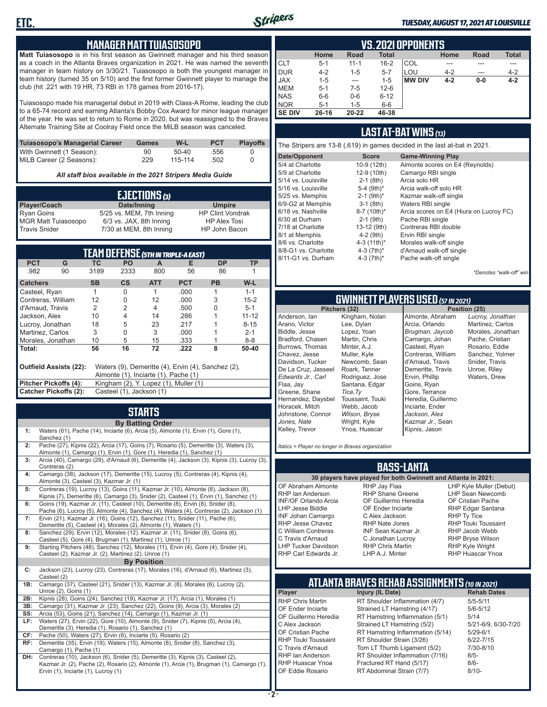

#### *TUESDAY, AUGUST 17, 2021 AT LOUISVILLE*

#### **MANAGER MATT TUIASOSOPO**

**Matt Tuiasosopo** is in his first season as Gwinnett manager and his third season as a coach in the Atlanta Braves organization in 2021. He was named the seventh manager in team history on 3/30/21. Tuiasosopo is both the youngest manager in team history (turned 35 on 5/10) and the first former Gwinnett player to manage the club (hit .221 with 19 HR, 73 RBI in 178 games from 2016-17).

Tuiasosopo made his managerial debut in 2019 with Class-A Rome, leading the club to a 65-74 record and earning Atlanta's Bobby Cox Award for minor league manager of the year. He was set to return to Rome in 2020, but was reassigned to the Braves Alternate Training Site at Coolray Field once the MiLB season was canceled.

| Tuiasosopo's Managerial Career | Games | W-L     | <b>PCT</b> | <b>Plavoffs</b> |
|--------------------------------|-------|---------|------------|-----------------|
| With Gwinnett (1 Season):      | 90    | $50-40$ | .556       |                 |
| MiLB Career (2 Seasons):       | 229   | 115-114 | .502       |                 |

*All staff bios available in the 2021 Stripers Media Guide*

|                            | EJECTIONS (3)            |                         |
|----------------------------|--------------------------|-------------------------|
| Player/Coach               | Date/Inning              | <b>Umpire</b>           |
| Ryan Goins                 | 5/25 vs. MEM, 7th Inning | <b>HP Clint Vondrak</b> |
| <b>MGR Matt Tuiasosopo</b> | 6/3 vs. JAX, 8th Inning  | <b>HP Alex Tosi</b>     |
| Travis Snider              | 7/30 at MEM, 8th Inning  | HP John Bacon           |

|                                                                                                                             |                              |                                       | TEAM DEFENSE (5TH IN TRIPLE-A EAST) |            |            |           |           |
|-----------------------------------------------------------------------------------------------------------------------------|------------------------------|---------------------------------------|-------------------------------------|------------|------------|-----------|-----------|
| <b>PCT</b>                                                                                                                  | G                            | TC                                    | PO.                                 | A          | Е          | <b>DP</b> | ТP        |
| .982                                                                                                                        | 90                           | 3189                                  | 2333                                | 800        | 56         | 86        |           |
| <b>Catchers</b>                                                                                                             |                              | <b>SB</b>                             | $\mathsf{cs}$                       | <b>ATT</b> | <b>PCT</b> | <b>PB</b> | W-L       |
| Casteel, Ryan                                                                                                               |                              |                                       | 0                                   |            | .000       |           | $1 - 1$   |
| Contreras, William                                                                                                          |                              | 12                                    | 0                                   | 12         | .000       | 3         | $15 - 2$  |
| d'Arnaud, Travis                                                                                                            |                              | 2                                     | 2                                   | 4          | .500       | U         | $5 - 1$   |
| Jackson, Alex                                                                                                               |                              | 10                                    | 4                                   | 14         | .286       |           | $11 - 12$ |
| Lucroy, Jonathan                                                                                                            |                              | 18                                    | 5                                   | 23         | .217       |           | $8 - 15$  |
| Martinez, Carlos                                                                                                            |                              | 3                                     | 0                                   | 3          | .000       |           | $2 - 1$   |
| Morales, Jonathan                                                                                                           |                              | 10                                    | 5                                   | 15         | .333       |           | $8 - 8$   |
| Total:                                                                                                                      |                              | 56                                    | 16                                  | 72         | .222       | 8         | 50-40     |
| Waters (9), Demeritte (4), Ervin (4), Sanchez (2),<br><b>Outfield Assists (22):</b><br>Almonte (1), Inciarte (1), Pache (1) |                              |                                       |                                     |            |            |           |           |
| <b>Pitcher Pickoffs (4):</b>                                                                                                |                              | Kingham (2), Y. Lopez (1), Muller (1) |                                     |            |            |           |           |
|                                                                                                                             | <b>Catcher Pickoffs (2):</b> |                                       | Casteel (1), Jackson (1)            |            |            |           |           |

## **STARTS**

|     | <b>By Batting Order</b>                                                                                                                                                                                              |
|-----|----------------------------------------------------------------------------------------------------------------------------------------------------------------------------------------------------------------------|
| 1:  | Waters (61), Pache (14), Inciarte (6), Arcia (5), Almonte (1), Ervin (1), Gore (1),<br>Sanchez (1)                                                                                                                   |
| 2:  | Pache (27), Kipnis (22), Arcia (17), Goins (7), Rosario (5), Demeritte (3), Waters (3),<br>Almonte (1), Camargo (1), Ervin (1), Gore (1), Heredia (1), Sanchez (1)                                                   |
| 3:  | Arcia (40), Camargo (29), d'Arnaud (6), Demeritte (4), Jackson (3), Kipnis (3), Lucroy (3),<br>Contreras (2)                                                                                                         |
| 4:  | Camargo (38), Jackson (17), Demeritte (15), Lucroy (5), Contreras (4), Kipnis (4),<br>Almonte (3), Casteel (3), Kazmar Jr. (1)                                                                                       |
| 5:  | Contreras (19), Lucroy (13), Goins (11), Kazmar Jr. (10), Almonte (8), Jackson (8),<br>Kipnis (7), Demeritte (6), Camargo (3), Snider (2), Casteel (1), Ervin (1), Sanchez (1)                                       |
| 6:  | Goins (19), Kazmar Jr. (11), Casteel (10), Demeritte (8), Ervin (8), Snider (8),<br>Pache (6), Lucroy (5), Almonte (4), Sanchez (4), Waters (4), Contreras (2), Jackson (1)                                          |
| 7:  | Ervin (21), Kazmar Jr. (16), Goins (12), Sanchez (11), Snider (11), Pache (6),<br>Demeritte (5), Casteel (4), Morales (2), Almonte (1), Waters (1)                                                                   |
| 8:  | Sanchez (29), Ervin (12), Morales (12), Kazmar Jr. (11), Snider (8), Goins (6),<br>Casteel (5), Gore (4), Brugman (1), Martinez (1), Unroe (1)                                                                       |
| 9:  | Starting Pitchers (48), Sanchez (12), Morales (11), Ervin (4), Gore (4), Snider (4),<br>Casteel (2), Kazmar Jr. (2), Martinez (2), Unroe (1)                                                                         |
|     | <b>By Position</b>                                                                                                                                                                                                   |
| C:  | Jackson (23), Lucroy (23), Contreras (17), Morales (16), d'Arnaud (6), Martinez (3),<br>Casteel (2)                                                                                                                  |
| 1B: | Camargo (37), Casteel (21), Snider (13), Kazmar Jr. (8), Morales (6), Lucroy (2),<br>Unroe (2), Goins (1)                                                                                                            |
| 2B: | Kipnis (28), Goins (24), Sanchez (19), Kazmar Jr. (17), Arcia (1), Morales (1)                                                                                                                                       |
| 3B: | Camargo (31), Kazmar Jr. (23), Sanchez (22), Goins (9), Arcia (3), Morales (2)                                                                                                                                       |
| SS: | Arcia (53), Goins (21), Sanchez (14), Camargo (1), Kazmar Jr. (1)                                                                                                                                                    |
| LF: | Waters (27), Ervin (22), Gore (10), Almonte (9), Snider (7), Kipnis (5), Arcia (4),<br>Demeritte (3), Heredia (1), Rosario (1), Sanchez (1)                                                                          |
| CF: | Pache (50), Waters (27), Ervin (6), Inciarte (5), Rosario (2)                                                                                                                                                        |
| RF: | Demeritte (35), Ervin (19), Waters (15), Almonte (8), Snider (8), Sanchez (3),<br>Camargo (1), Pache (1)                                                                                                             |
| DH: | Contreras (10), Jackson (6), Snider (5), Demeritte (3), Kipnis (3), Casteel (2),<br>Kazmar Jr. (2), Pache (2), Rosario (2), Almonte (1), Arcia (1), Brugman (1), Camargo (1),<br>Ervin (1), Inciarte (1), Lucroy (1) |

|               | <b>VS.2021 OPPONENTS</b>                                            |          |          |               |         |       |         |  |  |  |  |  |  |  |
|---------------|---------------------------------------------------------------------|----------|----------|---------------|---------|-------|---------|--|--|--|--|--|--|--|
|               | <b>Total</b><br><b>Total</b><br>Home<br>Home<br><b>Road</b><br>Road |          |          |               |         |       |         |  |  |  |  |  |  |  |
| <b>CLT</b>    | $5 - 1$                                                             | $11 - 1$ | $16 - 2$ | <b>COL</b>    |         |       |         |  |  |  |  |  |  |  |
| <b>DUR</b>    | $4 - 2$                                                             | $1 - 5$  | $5 - 7$  | LOU           | $4 - 2$ | ---   | $4 - 2$ |  |  |  |  |  |  |  |
| <b>JAX</b>    | $1 - 5$                                                             | ---      | $1 - 5$  | <b>MW DIV</b> | $4 - 2$ | $0-0$ | $4 - 2$ |  |  |  |  |  |  |  |
| <b>MEM</b>    | $5 - 1$                                                             | $7-5$    | $12 - 6$ |               |         |       |         |  |  |  |  |  |  |  |
| <b>NAS</b>    | $6-6$                                                               | $0-6$    | $6 - 12$ |               |         |       |         |  |  |  |  |  |  |  |
| <b>NOR</b>    | $5 - 1$                                                             | $1 - 5$  | $6-6$    |               |         |       |         |  |  |  |  |  |  |  |
| <b>SE DIV</b> | $26 - 16$                                                           | 20-22    | 46-38    |               |         |       |         |  |  |  |  |  |  |  |

#### **LAST AT-BAT WINS** *(13)*

|                      |                          | The Stripers are 13-8 (.619) in games decided in the last at-bat in 2021. |
|----------------------|--------------------------|---------------------------------------------------------------------------|
| Date/Opponent        | <b>Score</b>             | <b>Game-Winning Play</b>                                                  |
| 5/4 at Charlotte     | 10-9 (12th)              | Almonte scores on E4 (Reynolds)                                           |
| 5/9 at Charlotte     | 12-9 (10th)              | Camargo RBI single                                                        |
| 5/14 vs. Louisville  | $2-1$ (8th)              | Arcia solo HR                                                             |
| 5/16 vs. Louisville  | 5-4 $(9th)*$             | Arcia walk-off solo HR                                                    |
| 5/25 vs. Memphis     | $2-1$ (9th) <sup>*</sup> | Kazmar walk-off single                                                    |
| 6/9-G2 at Memphis    | $3-1$ (8th)              | Waters RBI single                                                         |
| 6/18 vs. Nashville   | 8-7 (10th)*              | Arcia scores on E4 (Hiura on Lucroy FC)                                   |
| 6/30 at Durham       | $2-1$ (9th)              | Pache RBI single                                                          |
| 7/18 at Charlotte    | 13-12 (9th)              | Contreras RBI double                                                      |
| 8/1 at Memphis       | $4-2$ (9th)              | Ervin RBI single                                                          |
| 8/6 vs. Charlotte    | 4-3 $(11th)^*$           | Morales walk-off single                                                   |
| 8/8-G1 vs. Charlotte | 4-3 $(7th)^*$            | d'Arnaud walk-off single                                                  |
| 8/11-G1 vs. Durham   | 4-3 $(7th)^*$            | Pache walk-off single                                                     |
|                      |                          |                                                                           |

*\*Denotes "walk-off" win*

## **GWINNETT PLAYERS USED** *(57 IN 2021)*

**Pitchers (32)** Anderson, Ian Arano, Victor Biddle, Jesse Bradford, Chasen Burrows, Thomas Chavez, Jesse Davidson, Tucker De La Cruz, Jasseel *Edwards Jr., Carl* Flaa, Jay Greene, Shane Hernandez, Daysbel Horacek, Mitch Johnstone, Connor *Jones, Nate* Kelley, Trevor Lee, Dylan Lopez, Yoan Martin, Chris Minter, A.J. Muller, Kyle Roark, Tanner *Tice,Ty* Webb, Jacob *Wilson, Bryse* Wright, Kyle

Kingham, Nolan Newcomb, Sean Rodriguez, Jose Santana, Edgar Toussaint, Touki Ynoa, Huascar Almonte, Abraham Arcia, Orlando *Brugman, Jaycob* Camargo, Johan Casteel, Ryan Contreras, William d'Arnaud, Travis Demeritte, Travis Ervin, Phillip Goins, Ryan Gore, Terrance Heredia, Guillermo Inciarte, Ender *Jackson, Alex* Kazmar Jr., Sean Kipnis, Jason

*Lucroy, Jonathan* Martinez, Carlos Morales, Jonathan Pache, Cristian Rosario, Eddie Sanchez, Yolmer Snider, Travis Unroe, Riley Waters, Drew

*Italics = Player no longer in Braves organization*

#### **BASS-LANTA**

OF Abraham Almonte RHP Ian Anderson INF/OF Orlando Arcia LHP Jesse Biddle INF Johan Camargo RHP Jesse Chavez C William Contreras C Travis d'Arnaud LHP Tucker Davidson RHP Carl Edwards Jr.

**30 players have played for both Gwinnett and Atlanta in 2021:** RHP Jay Flaa RHP Shane Greene OF Guillermo Heredia OF Ender Inciarte C Alex Jackson RHP Nate Jones INF Sean Kazmar Jr. C Jonathan Lucroy RHP Chris Martin LHP A.J. Minter

LHP Kyle Muller (Debut) LHP Sean Newcomb OF Cristian Pache RHP Edgar Santana RHP Ty Tice RHP Touki Toussaint RHP Jacob Webb RHP Bryse Wilson RHP Kyle Wright RHP Huascar Ynoa

### **ATLANTA BRAVES REHAB ASSIGNMENTS** *(10 IN 2021)*

RT Abdominal Strain (7/7)

**Player Injury (IL Date)** RHP Chris Martin RT Shoulder Inflammation (4/7) 5/5-5/11<br>CF Ender Inciarte Strained I T Hamstring (4/17) 5/6-5/12 OF Ender Inciarte Strained LT Hamstring (4/17) 5/6-5<br>OF Guillermo Heredia RT Hamstring Inflammation (5/1) 5/14 OF Guillermo Heredia RT Hamstring Inflammation (5/1) 5/14<br>C Alex Jackson Strained LT Hamstring (5/2) 5/21-6/9, 6/30-7/20 C Alex Jackson Strained LT Hamstring (5/2) 5/21-6/9<br>CF Cristian Pache RT Hamstring Inflammation (5/14) 5/29-6/1 OF Cristian Pache RT Hamstring Inflammation (5/14)<br>RHP Touki Toussaint RT Shoulder Strain (3/26) RHP Touki Toussaint RT Shoulder Strain (3/26) 6/22-7/15<br>C Travis d'Arnaud Torn LT Thumb Ligament (5/2) 7/30-8/10 C Travis d'Arnaud Torn LT Thumb Ligament (5/2) 7/30<br>RHP Ian Anderson RT Shoulder Inflammation (7/16) 8/5-RHP Ian Anderson RT Shoulder Inflammation (7/16) 8/5-<br>RHP Huascar Ynoa Fractured RT Hand (5/17) 8/6-RHP Huascar Ynoa Fractured RT Hand (5/17) 8/6-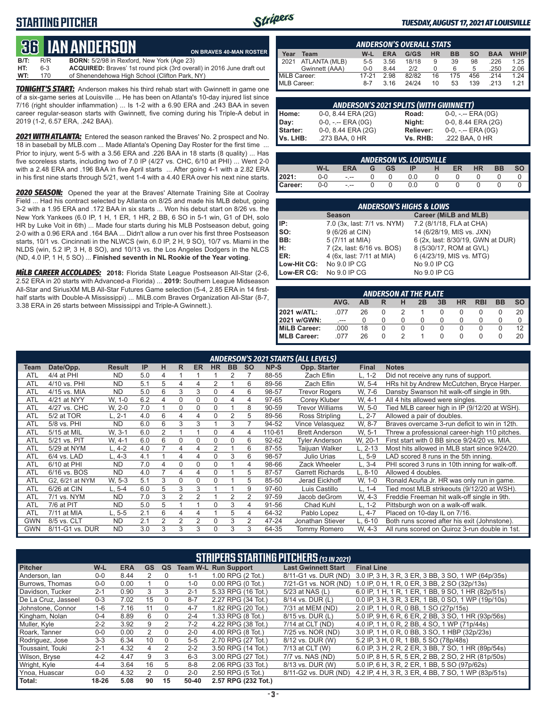#### **STARTING PITCHER**



**ON BRAVES 40-MAN ROSTER**

#### *TUESDAY, AUGUST 17, 2021 AT LOUISVILLE*

## **36****IAN ANDERSON**

| B/T: | R/R | <b>BORN:</b> 5/2/98 in Rexford, New York (Age 23)                     |
|------|-----|-----------------------------------------------------------------------|
| HT:  | 6-3 | ACQUIRED: Braves' 1st round pick (3rd overall) in 2016 June draft out |
| WT:  | 170 | of Shenendehowa High School (Clifton Park, NY)                        |

*TONIGHT'S START:* Anderson makes his third rehab start with Gwinnett in game one of a six-game series at Louisville ... He has been on Atlanta's 10-day injured list since 7/16 (right shoulder inflammation) ... Is 1-2 with a 6.90 ERA and .243 BAA in seven career regular-season starts with Gwinnett, five coming during his Triple-A debut in 2019 (1-2, 6.57 ERA, .242 BAA).

*2021 WITH ATLANTA:* Entered the season ranked the Braves' No. 2 prospect and No. 18 in baseball by MLB.com ... Made Atlanta's Opening Day Roster for the first time ... Prior to injury, went 5-5 with a 3.56 ERA and .226 BAA in 18 starts (8 quality) ... Has five scoreless starts, including two of 7.0 IP (4/27 vs. CHC, 6/10 at PHI) ... Went 2-0 with a 2.48 ERA and .196 BAA in five April starts ... After going 4-1 with a 2.82 ERA in his first nine starts through 5/21, went 1-4 with a 4.40 ERA over his next nine starts.

*2020 SEASON:* Opened the year at the Braves' Alternate Training Site at Coolray Field ... Had his contract selected by Atlanta on 8/25 and made his MLB debut, going 3-2 with a 1.95 ERA and .172 BAA in six starts ... Won his debut start on 8/26 vs. the New York Yankees (6.0 IP, 1 H, 1 ER, 1 HR, 2 BB, 6 SO in 5-1 win, G1 of DH, solo HR by Luke Voit in 6th) ... Made four starts during his MLB Postseason debut, going 2-0 with a 0.96 ERA and .164 BAA ... Didn't allow a run over his first three Postseason starts, 10/1 vs. Cincinnati in the NLWCS (win, 6.0 IP, 2 H, 9 SO), 10/7 vs. Miami in the NLDS (win, 5.2 IP, 3 H, 8 SO), and 10/13 vs. the Los Angeles Dodgers in the NLCS (ND, 4.0 IP, 1 H, 5 SO) ... **Finished seventh in NL Rookie of the Year voting**.

*MiLB CAREER ACCOLADES:* **2018:** Florida State League Postseason All-Star (2-6, 2.52 ERA in 20 starts with Advanced-a Florida) ... **2019:** Southern League Midseason All-Star and SiriusXM MLB All-Star Futures Game selection (5-4, 2.85 ERA in 14 firsthalf starts with Double-A Mississippi) ... MiLB.com Braves Organization All-Star (8-7, 3.38 ERA in 26 starts between Mississippi and Triple-A Gwinnett.).

|              | <b>ANDERSON'S OVERALL STATS</b> |         |            |       |    |     |     |            |             |  |  |  |  |  |
|--------------|---------------------------------|---------|------------|-------|----|-----|-----|------------|-------------|--|--|--|--|--|
| 'ear         | Team                            | W-L     | <b>ERA</b> | G/GS  | HR | ВB  | SΟ  | <b>BAA</b> | <b>WHIP</b> |  |  |  |  |  |
| 12021        | ATLANTA (MLB)                   | $5-5$   | 3.56       | 18/18 | 9  | 39  | 98  | .226       | 1.25        |  |  |  |  |  |
|              | Gwinnett (AAA)                  | $0 - 0$ | 8.44       | 2/2   |    | 6   | 5   | .250       | 2.06        |  |  |  |  |  |
| MiLB Career: |                                 | 17-21   | 2.98       | 82/82 | 16 | 175 | 456 | 214        | 1.24        |  |  |  |  |  |
| MLB Career:  |                                 | $8 - 7$ | 3.16       | 24/24 | 10 | 53  | 139 | .213       | 1 21        |  |  |  |  |  |

|           | <b>ANDERSON'S 2021 SPLITS (WITH GWINNETT)</b> |           |                       |
|-----------|-----------------------------------------------|-----------|-----------------------|
| Home:     | 0-0, 8.44 ERA (2G)                            | Road:     | $0-0, - -$ ERA $(0G)$ |
| Day:      | $0-0, - -$ ERA $(0G)$                         | Night:    | 0-0, 8.44 ERA (2G)    |
| Starter:  | 0-0, 8.44 ERA (2G)                            | Reliever: | $0-0, - -$ ERA $(0G)$ |
| lVs. LHB: | .273 BAA, 0 HR                                | Vs. RHB:  | .222 BAA, 0 HR        |

|         | <b>ANDERSON VS. LOUISVILLE</b>                              |      |  |  |     |  |  |  |  |  |  |  |  |  |
|---------|-------------------------------------------------------------|------|--|--|-----|--|--|--|--|--|--|--|--|--|
|         | W-L<br><b>GS</b><br>ER<br><b>HR</b><br>ВB<br>ERA<br>ΙP<br>G |      |  |  |     |  |  |  |  |  |  |  |  |  |
| 12021:  | 0-0                                                         | - -- |  |  | 0.0 |  |  |  |  |  |  |  |  |  |
| Career: | 0-0                                                         | - -- |  |  | 0.0 |  |  |  |  |  |  |  |  |  |

|                                                                        | <b>ANDERSON'S HIGHS &amp; LOWS</b> |                                   |  |  |  |  |  |  |  |  |  |
|------------------------------------------------------------------------|------------------------------------|-----------------------------------|--|--|--|--|--|--|--|--|--|
|                                                                        | <b>Season</b>                      | Career (MiLB and MLB)             |  |  |  |  |  |  |  |  |  |
| IP:                                                                    | 7.0 (3x, last: 7/1 vs. NYM)        | 7.2 (8/1/18, FLA at CHA)          |  |  |  |  |  |  |  |  |  |
| $\left  \begin{array}{c} \text{so:} \\ \text{BB:} \end{array} \right $ | 9 (6/26 at CIN)                    | 14 (6/28/19, MIS vs. JXN)         |  |  |  |  |  |  |  |  |  |
|                                                                        | 5 (7/11 at MIA)                    | 6 (2x, last: 8/30/19, GWN at DUR) |  |  |  |  |  |  |  |  |  |
| H:<br>ER:                                                              | 7 (2x, last: 6/16 vs. BOS)         | 8 (5/30/17, ROM at GVL)           |  |  |  |  |  |  |  |  |  |
|                                                                        | 4 (6x, last: 7/11 at MIA)          | 6 (4/23/19, MIS vs. MTG)          |  |  |  |  |  |  |  |  |  |
| Low-Hit CG:                                                            | No 9.0 IP CG                       | No 9.0 IP CG                      |  |  |  |  |  |  |  |  |  |
| Low-ER CG:                                                             | No 9.0 IP CG                       | No 9.0 IP CG                      |  |  |  |  |  |  |  |  |  |

|                                                                                       | <b>ANDERSON AT THE PLATE</b> |    |  |              |          |  |  |        |   |    |  |  |  |  |
|---------------------------------------------------------------------------------------|------------------------------|----|--|--------------|----------|--|--|--------|---|----|--|--|--|--|
| AVG.<br><b>HR</b><br><b>RBI</b><br><b>BB</b><br><b>SO</b><br>3B<br>AB<br>2B<br>н<br>R |                              |    |  |              |          |  |  |        |   |    |  |  |  |  |
| 2021 w/ATL:                                                                           | 077                          | 26 |  |              |          |  |  |        |   | 20 |  |  |  |  |
| 2021 w/GWN:                                                                           | $- - -$                      |    |  | $\mathbf{O}$ | $\Omega$ |  |  | $\cup$ | O | 0  |  |  |  |  |
| MiLB Career:                                                                          | .000                         | 18 |  |              |          |  |  |        |   | 12 |  |  |  |  |
| MLB Career:                                                                           | 077                          | 26 |  |              |          |  |  |        |   | 20 |  |  |  |  |

|            |                 |               |           | <b>ANDERSON'S 2021 STARTS (ALL LEVELS)</b> |   |             |           |                |           |           |                         |              |                                                |  |  |  |  |
|------------|-----------------|---------------|-----------|--------------------------------------------|---|-------------|-----------|----------------|-----------|-----------|-------------------------|--------------|------------------------------------------------|--|--|--|--|
| Team       | Date/Opp.       | <b>Result</b> | <b>IP</b> | н                                          | R | <b>ER</b>   | <b>HR</b> | <b>BB</b>      | <b>SO</b> | NP-S      | Opp. Starter            | <b>Final</b> | <b>Notes</b>                                   |  |  |  |  |
| ATL        | 4/4 at PHI      | <b>ND</b>     | 5.0       | 4                                          |   |             |           |                |           | 88-55     | Zach Eflin              | $L, 1-2$     | Did not receive any runs of support.           |  |  |  |  |
| ATL        | 4/10 vs. PHI    | <b>ND</b>     | 5.1       | 5                                          | 4 | 4           | 2         |                | 6         | 89-56     | Zach Eflin              | W. 5-4       | HRs hit by Andrew McCutchen, Bryce Harper.     |  |  |  |  |
| <b>ATL</b> | 4/15 vs. MIA    | <b>ND</b>     | 5.0       | 6                                          | 3 | 3           | 0         | 4              | 6         | 98-57     | <b>Trevor Rogers</b>    | W, 7-6       | Dansby Swanson hit walk-off single in 9th.     |  |  |  |  |
| ATL        | 4/21 at NYY     | W, 1-0        | 6.2       | $\overline{4}$                             | 0 | $\mathbf 0$ | 0         | 4              | 4         | 97-65     | Corey Kluber            | W. 4-1       | All 4 hits allowed were singles.               |  |  |  |  |
| ATL        | 4/27 vs. CHC    | W. 2-0        | 7.0       |                                            | 0 | 0           | 0         |                | 8         | 90-59     | <b>Trevor Williams</b>  | W, 5-0       | Tied MLB career high in IP (9/12/20 at WSH).   |  |  |  |  |
| <b>ATL</b> | 5/2 at TOR      | $-.2-1$       | 4.0       | 6                                          | 4 | 4           | 0         | $\overline{2}$ | 5         | 89-56     | Ross Stripling          | $L, 2-7$     | Allowed a pair of doubles.                     |  |  |  |  |
| ATL        | 5/8 vs. PHI     | <b>ND</b>     | 6.0       | 6                                          | 3 | 3           |           | 3              |           | 94-52     | Vince Velasquez         | W. 8-7       | Braves overcame 3-run deficit to win in 12th.  |  |  |  |  |
| ATL        | 5/15 at MIL     | W. 3-1        | 6.0       | 2                                          |   |             | 0         | 4              | 4         | 110-61    | <b>Brett Anderson</b>   | W. 5-1       | Threw a professional career-high 110 pitches.  |  |  |  |  |
| <b>ATL</b> | 5/21 vs. PIT    | W. 4-1        | 6.0       | 6                                          | 0 | $\Omega$    | 0         | $\Omega$       | 6         | $92 - 62$ | <b>Tyler Anderson</b>   | W. 20-1      | First start with 0 BB since 9/24/20 vs. MIA.   |  |  |  |  |
| ATL        | 5/29 at NYM     | $.4-2$        | 4.0       |                                            |   | 4           | 2         |                | 6         | 87-55     | Taiiuan Walker          | L. 2-13      | Most hits allowed in MLB start since 9/24/20.  |  |  |  |  |
| ATL        | 6/4 vs. LAD     | 4-3           | 4.1       |                                            | 4 | 4           | 0         | 3              | 6         | 98-57     | Julio Urias             | $L, 5-9$     | LAD scored 8 runs in the 5th inning.           |  |  |  |  |
| <b>ATL</b> | 6/10 at PHI     | <b>ND</b>     | 7.0       | 4                                          | 0 | $\Omega$    | 0         |                | 4         | 98-66     | Zack Wheeler            | L. 3-4       | PHI scored 3 runs in 10th inning for walk-off. |  |  |  |  |
| <b>ATL</b> | 6/16 vs. BOS    | <b>ND</b>     | 4.0       |                                            | 4 | 4           | 0         |                | 5         | 87-57     | <b>Garrett Richards</b> | L. 8-10      | Allowed 4 doubles.                             |  |  |  |  |
| ATL        | G2, 6/21 at NYM | W. 5-3        | 5.1       | 3                                          | 0 | $\Omega$    | 0         |                | 5         | 85-50     | Jerad Eickhoff          | W, 1-0       | Ronald Acuña Jr. HR was only run in game.      |  |  |  |  |
| ATL        | 6/26 at CIN     | 5-4           | 6.0       | 5                                          | 3 | 3           |           |                | 9         | 97-60     | Luis Castillo           | $L. 1 - 4$   | Tied most MLB strikeouts (9/12/20 at WSH).     |  |  |  |  |
| ATL        | 7/1 vs. NYM     | <b>ND</b>     | 7.0       | 3                                          | 2 | 2           |           | $\overline{2}$ | 2         | 97-59     | Jacob deGrom            | W, 4-3       | Freddie Freeman hit walk-off single in 9th.    |  |  |  |  |
| ATL        | 7/6 at PIT      | <b>ND</b>     | 5.0       | 5                                          |   |             | 0         | 3              | 4         | 91-56     | Chad Kuhl               | $L, 1-2$     | Pittsburgh won on a walk-off walk.             |  |  |  |  |
| <b>ATL</b> | 7/11 at MIA     | ., 5-5        | 2.1       | 6                                          | 4 | 4           |           | 5              | 4         | 64-32     | Pablo Lopez             | L. 4-7       | Placed on 10-day IL on 7/16.                   |  |  |  |  |
| <b>GWN</b> | 8/5 vs. CLT     | <b>ND</b>     | 2.1       | 2                                          | 2 | 2           | 0         | 3              | 2         | 47-24     | Jonathan Stiever        | $L, 6-10$    | Both runs scored after his exit (Johnstone).   |  |  |  |  |
| <b>GWN</b> | 8/11-G1 vs. DUR | <b>ND</b>     | 3.0       | 3                                          | 3 | 3           | 0         | 3              | 3         | 64-35     | <b>Tommy Romero</b>     | W. 4-3       | All runs scored on Quiroz 3-run double in 1st. |  |  |  |  |

|                     | <b>STRIPERS STARTING PITCHERS (13 IN 2021)</b> |            |    |          |           |                             |                            |                                                    |  |  |  |  |
|---------------------|------------------------------------------------|------------|----|----------|-----------|-----------------------------|----------------------------|----------------------------------------------------|--|--|--|--|
| <b>Pitcher</b>      | W-L                                            | <b>ERA</b> | GS | QS       |           | <b>Team W-L Run Support</b> | <b>Last Gwinnett Start</b> | <b>Final Line</b>                                  |  |  |  |  |
| Anderson, lan       | $0 - 0$                                        | 8.44       |    |          | $1 - 1$   | 1.00 RPG (2 Tot.)           | 8/11-G1 vs. DUR (ND)       | 3.0 IP, 3 H, 3 R, 3 ER, 3 BB, 3 SO, 1 WP (64p/35s) |  |  |  |  |
| Burrows, Thomas     | $0-0$                                          | 0.00       |    | $\Omega$ | 1-0       | $0.00$ RPG $(0$ Tot.)       | 7/21-G1 vs. NOR (ND)       | 1.0 IP, 0 H, 1 R, 0 ER, 3 BB, 2 SO (32p/13s)       |  |  |  |  |
| Davidson, Tucker    | $2 - 1$                                        | 0.90       | 3  | 3        | $2 - 1$   | 5.33 RPG (16 Tot.)          | 5/23 at NAS (L)            | 6.0 IP, 1 H, 1 R, 1 ER, 1 BB, 9 SO, 1 HR (82p/51s) |  |  |  |  |
| De La Cruz, Jasseel | $0 - 3$                                        | 7.02       | 15 | $\Omega$ | $8 - 7$   | 2.27 RPG (34 Tot.)          | 8/14 vs. DUR (L)           | 0.0 IP, 3 H, 3 R, 3 ER, 1 BB, 0 SO, 1 WP (19p/10s) |  |  |  |  |
| Johnstone, Connor   | $1 - 6$                                        | 7.16       | 11 | $\Omega$ | $4 - 7$   | 1.82 RPG (20 Tot.)          | 7/31 at MEM (ND)           | 2.0 IP, 1 H, 0 R, 0 BB, 1 SO (27p/15s)             |  |  |  |  |
| Kingham, Nolan      | $0 - 4$                                        | 8.89       | 6  | 0        | $2 - 4$   | 1.33 RPG (8 Tot.)           | 8/15 vs. DUR (L)           | 5.0 IP, 9 H, 6 R, 6 ER, 2 BB, 3 SO, 1 HR (93p/56s) |  |  |  |  |
| Muller, Kyle        | $2 - 2$                                        | 3.92       | 9  | 2        | $7-2$     | 4.22 RPG (38 Tot.)          | 7/14 at CLT (ND)           | 4.0 IP, 1 H, 0 R, 2 BB, 4 SO, 1 WP (71p/44s)       |  |  |  |  |
| Roark, Tanner       | $0 - 0$                                        | 0.00       | 2  | $\Omega$ | $2 - 0$   | 4.00 RPG (8 Tot.)           | 7/25 vs. NOR (ND)          | 3.0 IP, 1 H, 0 R, 0 BB, 3 SO, 1 HBP (32p/23s)      |  |  |  |  |
| Rodriguez, Jose     | $3-3$                                          | 6.34       | 10 | $\Omega$ | $5 - 5$   | 2.70 RPG (27 Tot.)          | 8/12 vs. DUR (W)           | 5.2 IP, 3 H, 0 R, 1 BB, 5 SO (78p/48s)             |  |  |  |  |
| Toussaint, Touki    | $2 - 1$                                        | 4.32       | 4  | 2        | $2 - 2$   | 3.50 RPG (14 Tot.)          | 7/13 at CLT (W)            | 6.0 IP, 3 H, 2 R, 2 ER, 3 BB, 7 SO, 1 HR (89p/54s) |  |  |  |  |
| Wilson, Bryse       | $4 - 2$                                        | 4.47       | 9  | 3        | $6 - 3$   | 3.00 RPG (27 Tot.)          | 7/7 vs. NAS (ND)           | 5.0 IP, 8 H, 5 R, 5 ER, 2 BB, 2 SO, 2 HR (81p/50s) |  |  |  |  |
| Wright, Kyle        | $4 - 4$                                        | 3.64       | 16 | 5.       | $8 - 8$   | 2.06 RPG (33 Tot.)          | 8/13 vs. DUR (W)           | 5.0 IP, 6 H, 3 R, 2 ER, 1 BB, 5 SO (97p/62s)       |  |  |  |  |
| Ynoa, Huascar       | $0-0$                                          | 4.32       | 2  | $\Omega$ | $2 - 0$   | 2.50 RPG (5 Tot.)           | 8/11-G2 vs. DUR (ND)       | 4.2 IP, 4 H, 3 R, 3 ER, 4 BB, 7 SO, 1 WP (83p/51s) |  |  |  |  |
| Total:              | 18-26                                          | 5.08       | 90 | 15       | $50 - 40$ | 2.57 RPG (232 Tot.)         |                            |                                                    |  |  |  |  |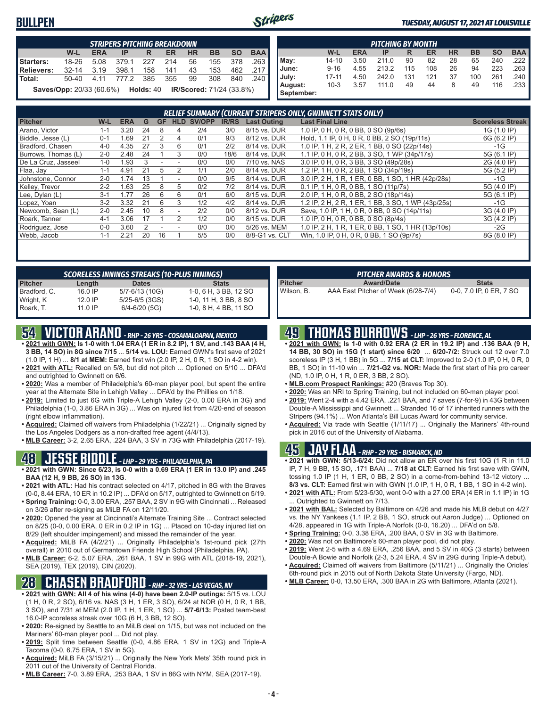#### **BULLPEN**



#### *TUESDAY, AUGUST 17, 2021 AT LOUISVILLE*

|            | <b>STRIPERS PITCHING BREAKDOWN</b>               |            |            |       |     |                                 |           |           |            |  |  |  |  |  |
|------------|--------------------------------------------------|------------|------------|-------|-----|---------------------------------|-----------|-----------|------------|--|--|--|--|--|
|            | W-L                                              | <b>ERA</b> | IP         | R     | ER  | <b>HR</b>                       | <b>BB</b> | <b>SO</b> | <b>BAA</b> |  |  |  |  |  |
| Starters:  | 18-26                                            | 5.08       | 379.1      | 227   | 214 | 56                              | 155       | 378       | .263       |  |  |  |  |  |
| Relievers: | $32 - 14$                                        | 3.19       | 398.1      | 158   | 141 | 43                              | 153       | 462       | .217       |  |  |  |  |  |
| l Total:   | 50-40                                            |            | 4.11 777.2 | - 385 | 355 | 99                              | 308       | 840       | . 240 I    |  |  |  |  |  |
|            | <b>Saves/Opp:</b> 20/33 (60.6%) <b>Holds:</b> 40 |            |            |       |     | <b>IR/Scored:</b> 71/24 (33.8%) |           |           |            |  |  |  |  |  |

|            | <b>PITCHING BY MONTH</b>                                                                |      |       |     |     |    |     |     |        |  |  |  |  |  |  |
|------------|-----------------------------------------------------------------------------------------|------|-------|-----|-----|----|-----|-----|--------|--|--|--|--|--|--|
|            | <b>BAA</b><br><b>BB</b><br><b>HR</b><br><b>SO</b><br>W-L<br><b>ERA</b><br>ER<br>IP<br>R |      |       |     |     |    |     |     |        |  |  |  |  |  |  |
| May:       | $14 - 10$                                                                               | 3.50 | 211.0 | 90  | 82  | 28 | 65  | 240 | .222 ∥ |  |  |  |  |  |  |
| June:      | $9 - 16$                                                                                | 4.55 | 213.2 | 115 | 108 | 26 | 94  | 223 | .263 I |  |  |  |  |  |  |
| July:      | $17 - 11$                                                                               | 4.50 | 242.0 | 131 | 121 | 37 | 100 | 261 | .240 I |  |  |  |  |  |  |
| August:    | $10 - 3$                                                                                | 3.57 | 111.0 | 49  | 44  | 8  | 49  | 116 | .233   |  |  |  |  |  |  |
| September: |                                                                                         |      |       |     |     |    |     |     |        |  |  |  |  |  |  |

| RELIEF SUMMARY (CURRENT STRIPERS ONLY, GWINNETT STATS ONLY) |         |               |    |    |                          |        |              |                    |                                                    |                         |
|-------------------------------------------------------------|---------|---------------|----|----|--------------------------|--------|--------------|--------------------|----------------------------------------------------|-------------------------|
| <b>Pitcher</b>                                              | W-L     | <b>ERA</b>    | G  | GF | <b>HLD</b>               | SV/OPP | <b>IR/RS</b> | <b>Last Outing</b> | <b>Last Final Line</b>                             | <b>Scoreless Streak</b> |
| Arano, Victor                                               | 1-1     | 3.20          | 24 | 8  | 4                        | 2/4    | 3/0          | 8/15 vs. DUR       | 1.0 IP, 0 H, 0 R, 0 BB, 0 SO (9p/6s)               | 1G (1.0 IP)             |
| Biddle, Jesse (L)                                           | $0 - 1$ | .69           | 21 |    | 4                        | 0/1    | 9/3          | 8/12 vs. DUR       | Hold, 1.1 IP, 0 H, 0 R, 0 BB, 2 SO (19p/11s)       | 6G (6.2 IP)             |
| Bradford, Chasen                                            | 4-0     | 4.35          | 27 | 3  | 6                        | 0/1    | 2/2          | 8/14 vs. DUR       | 1.0 IP, 1 H, 2 R, 2 ER, 1 BB, 0 SO (22p/14s)       | -1G                     |
| Burrows, Thomas (L)                                         | $2 - 0$ | 2.48          | 24 |    | 3                        | 0/0    | 18/6         | 8/14 vs. DUR       | 1.1 IP, 0 H, 0 R, 2 BB, 3 SO, 1 WP (34p/17s)       | 5G (6.1 IP)             |
| De La Cruz, Jasseel                                         | $1 - 0$ | .93           |    |    |                          | 0/0    | 0/0          | 7/10 vs. NAS       | 3.0 IP, 0 H, 0 R, 3 BB, 3 SO (49p/28s)             | 2G (4.0 IP)             |
| Flaa, Jay                                                   | $1 - 1$ | 4.91          | 21 | 5  |                          | 1/1    | 2/0          | 8/14 vs. DUR       | 1.2 IP, 1 H, 0 R, 2 BB, 1 SO (34p/19s)             | 5G (5.2 IP)             |
| Johnstone, Connor                                           | $2 - 0$ | 1.74          | 13 |    |                          | 0/0    | 9/5          | 8/14 vs. DUR       | 3.0 IP, 2 H, 1 R, 1 ER, 0 BB, 1 SO, 1 HR (42p/28s) | $-1G$                   |
| Kelley, Trevor                                              | $2 - 2$ | .63           | 25 | 8  | 5                        | 0/2    | 7/2          | 8/14 vs. DUR       | 0.1 IP, 1 H, 0 R, 0 BB, 1 SO (11p/7s)              | 5G (4.0 IP)             |
| Lee, Dylan (L)                                              | $3 - 1$ | 1.77          | 26 | 6  | 6                        | 0/1    | 6/0          | 8/15 vs. DUR       | 2.0 IP, 1 H, 0 R, 0 BB, 2 SO (18p/14s)             | 5G (6.1 IP)             |
| Lopez, Yoan                                                 | $3-2$   | 3.32          | 21 | 6  | 3                        | 1/2    | 4/2          | 8/14 vs. DUR       | 1.2 IP, 2 H, 2 R, 1 ER, 1 BB, 3 SO, 1 WP (43p/25s) | $-1G$                   |
| Newcomb, Sean (L)                                           | $2 - 0$ | 2.45          | 10 | 8  | $\overline{\phantom{a}}$ | 2/2    | 0/0          | 8/12 vs. DUR       | Save, 1.0 IP, 1 H, 0 R, 0 BB, 0 SO (14p/11s)       | 3G (4.0 IP)             |
| Roark. Tanner                                               | $4 - 1$ | 3.06          |    |    |                          | 1/2    | 0/0          | 8/15 vs. DUR       | 1.0 IP, 0 H, 0 R, 0 BB, 0 SO (8p/4s)               | 3G (4.2 IP)             |
| Rodriguez, Jose                                             | $0 - 0$ | 3.60          |    |    |                          | 0/0    | 0/0          | 5/26 vs. MEM       | 1.0 IP, 2 H, 1 R, 1 ER, 0 BB, 1 SO, 1 HR (13p/10s) | $-2G$                   |
| Webb, Jacob                                                 | 1-1     | $2.2^{\circ}$ | 20 | 16 |                          | 5/5    | 0/0          | 8/8-G1 vs. CLT     | Win, 1.0 IP, 0 H, 0 R, 0 BB, 1 SO (9p/7s)          | 8G (8.0 IP)             |
|                                                             |         |               |    |    |                          |        |              |                    |                                                    |                         |

| <b>SCORELESS INNINGS STREAKS (10-PLUS INNINGS)</b> |                    |                       |  |  |  |  |  |  |
|----------------------------------------------------|--------------------|-----------------------|--|--|--|--|--|--|
| Length                                             | <b>Dates</b>       | <b>Stats</b>          |  |  |  |  |  |  |
| 16.0 IP                                            | 5/7-6/13 (10G)     | 1-0, 6 H, 3 BB, 12 SO |  |  |  |  |  |  |
| $12.0$ IP                                          | $5/25 - 6/5$ (3GS) | 1-0, 11 H, 3 BB, 8 SO |  |  |  |  |  |  |
| 11.0 IP                                            | $6/4 - 6/20$ (5G)  | 1-0, 8 H, 4 BB, 11 SO |  |  |  |  |  |  |
|                                                    |                    |                       |  |  |  |  |  |  |

## **54 VICTOR ARANO** *- RHP - 26 YRS - COSAMALOAPAN, MEXICO*

- **• 2021 with GWN: Is 1-0 with 1.04 ERA (1 ER in 8.2 IP), 1 SV, and .143 BAA (4 H, 3 BB, 14 SO) in 8G since 7/15** ... **5/14 vs. LOU:** Earned GWN's first save of 2021 (1.0 IP, 1 H) ... **8/1 at MEM:** Earned first win (2.0 IP, 2 H, 0 R, 1 SO in 4-2 win).
- **• 2021 with ATL:** Recalled on 5/8, but did not pitch ... Optioned on 5/10 ... DFA'd and outrighted to Gwinnett on 6/6.
- **• 2020:** Was a member of Philadelphia's 60-man player pool, but spent the entire year at the Alternate Site in Lehigh Valley ... DFA'd by the Phillies on 1/18.
- **• 2019:** Limited to just 6G with Triple-A Lehigh Valley (2-0, 0.00 ERA in 3G) and Philadelphia (1-0, 3.86 ERA in 3G) ... Was on injured list from 4/20-end of season (right elbow inflammation).
- **• Acquired:** Claimed off waivers from Philadelphia (1/22/21) ... Originally signed by the Los Angeles Dodgers as a non-drafted free agent (4/4/13).
- **• MLB Career:** 3-2, 2.65 ERA, .224 BAA, 3 SV in 73G with Philadelphia (2017-19).

#### **48 JESSE BIDDLE** *- LHP - 29 YRS - PHILADELPHIA, PA*

- **• 2021 with GWN: Since 6/23, is 0-0 with a 0.69 ERA (1 ER in 13.0 IP) and .245 BAA (12 H, 9 BB, 26 SO) in 13G**.
- **• 2021 with ATL:** Had his contract selected on 4/17, pitched in 8G with the Braves (0-0, 8.44 ERA, 10 ER in 10.2 IP) ... DFA'd on 5/17, outrighted to Gwinnett on 5/19. **• Spring Training:** 0-0, 3.00 ERA, .257 BAA, 2 SV in 9G with Cincinnati ... Released
- on 3/26 after re-signing as MiLB FA on 12/11/20. **• 2020:** Opened the year at Cincinnati's Alternate Training Site ... Contract selected
- on 8/25 (0-0, 0.00 ERA, 0 ER in 0.2 IP in 1G) ... Placed on 10-day injured list on 8/29 (left shoulder impingement) and missed the remainder of the year.
- **• Acquired:** MiLB FA (4/2/21) ... Originally Philadelphia's 1st-round pick (27th overall) in 2010 out of Germantown Friends High School (Philadelphia, PA).
- **• MLB Career:** 6-2, 5.07 ERA, .261 BAA, 1 SV in 99G with ATL (2018-19, 2021), SEA (2019), TEX (2019), CIN (2020).

## **28 CHASEN BRADFORD** *- RHP - 32 YRS - LAS VEGAS, NV*

- **• 2021 with GWN: All 4 of his wins (4-0) have been 2.0-IP outings:** 5/15 vs. LOU (1 H, 0 R, 2 SO), 6/16 vs. NAS (3 H, 1 ER, 3 SO), 6/24 at NOR (0 H, 0 R, 1 BB, 3 SO), and 7/31 at MEM (2.0 IP, 1 H, 1 ER, 1 SO) ... **5/7-6/13:** Posted team-best 16.0-IP scoreless streak over 10G (6 H, 3 BB, 12 SO).
- **• 2020:** Re-signed by Seattle to an MiLB deal on 1/15, but was not included on the Mariners' 60-man player pool ... Did not play.
- **• 2019:** Split time between Seattle (0-0, 4.86 ERA, 1 SV in 12G) and Triple-A Tacoma (0-0, 6.75 ERA, 1 SV in 5G).
- **• Acquired:** MiLB FA (3/15/21) ... Originally the New York Mets' 35th round pick in 2011 out of the University of Central Florida.
- **• MLB Career:** 7-0, 3.89 ERA, .253 BAA, 1 SV in 86G with NYM, SEA (2017-19).

| <b>PITCHER AWARDS &amp; HONORS</b> |                                     |                         |  |  |  |  |  |
|------------------------------------|-------------------------------------|-------------------------|--|--|--|--|--|
| <b>Pitcher</b>                     | <b>Award/Date</b>                   | <b>Stats</b>            |  |  |  |  |  |
| Wilson, B.                         | AAA East Pitcher of Week (6/28-7/4) | 0-0, 7.0 IP, 0 ER, 7 SO |  |  |  |  |  |

### **49 THOMAS BURROWS** *- LHP - 26 YRS - FLORENCE, AL*

- **• 2021 with GWN: Is 1-0 with 0.92 ERA (2 ER in 19.2 IP) and .136 BAA (9 H, 14 BB, 30 SO) in 15G (1 start) since 6/20** ... **6/20-7/2:** Struck out 12 over 7.0 scoreless IP (3 H, 1 BB) in 5G ... **7/15 at CLT:** Improved to 2-0 (1.0 IP, 0 H, 0 R, 0 BB, 1 SO) in 11-10 win ... **7/21-G2 vs. NOR:** Made the first start of his pro career (ND, 1.0 IP, 0 H, 1 R, 0 ER, 3 BB, 2 SO).
- **• MLB.com Prospect Rankings:** #20 (Braves Top 30).
- **• 2020:** Was an NRI to Spring Training, but not included on 60-man player pool.
- **• 2019:** Went 2-4 with a 4.42 ERA, .221 BAA, and 7 saves (7-for-9) in 43G between Double-A Mississippi and Gwinnett ... Stranded 16 of 17 inherited runners with the Stripers (94.1%) ... Won Atlanta's Bill Lucas Award for community service.
- **• Acquired:** Via trade with Seattle (1/11/17) ... Originally the Mariners' 4th-round pick in 2016 out of the University of Alabama.

#### **45 JAY FLAA** *- RHP - 29 YRS - BISMARCK, ND*

- **• 2021 with GWN: 5/13-6/24:** Did not allow an ER over his first 10G (1 R in 11.0 IP, 7 H, 9 BB, 15 SO, .171 BAA) ... **7/18 at CLT:** Earned his first save with GWN, tossing 1.0 IP (1 H, 1 ER, 0 BB, 2 SO) in a come-from-behind 13-12 victory ... **8/3 vs. CLT:** Earned first win with GWN (1.0 IP, 1 H, 0 R, 1 BB, 1 SO in 4-2 win).
- **• 2021 with ATL:** From 5/23-5/30, went 0-0 with a 27.00 ERA (4 ER in 1.1 IP) in 1G Outrighted to Gwinnett on 7/13.
- **• 2021 with BAL:** Selected by Baltimore on 4/26 and made his MLB debut on 4/27 vs. the NY Yankees (1.1 IP, 2 BB, 1 SO, struck out Aaron Judge) ... Optioned on 4/28, appeared in 1G with Triple-A Norfolk (0-0, 16.20) ... DFA'd on 5/8.
- **• Spring Training:** 0-0, 3.38 ERA, .200 BAA, 0 SV in 3G with Baltimore.
- **• 2020:** Was not on Baltimore's 60-man player pool, did not play.
- **• 2019:** Went 2-5 with a 4.69 ERA, .256 BAA, and 5 SV in 40G (3 starts) between Double-A Bowie and Norfolk (2-3, 5.24 ERA, 4 SV in 29G during Triple-A debut).
- **• Acquired:** Claimed off waivers from Baltimore (5/11/21) ... Originally the Orioles' 6th-round pick in 2015 out of North Dakota State University (Fargo, ND).
- **• MLB Career:** 0-0, 13.50 ERA, .300 BAA in 2G with Baltimore, Atlanta (2021).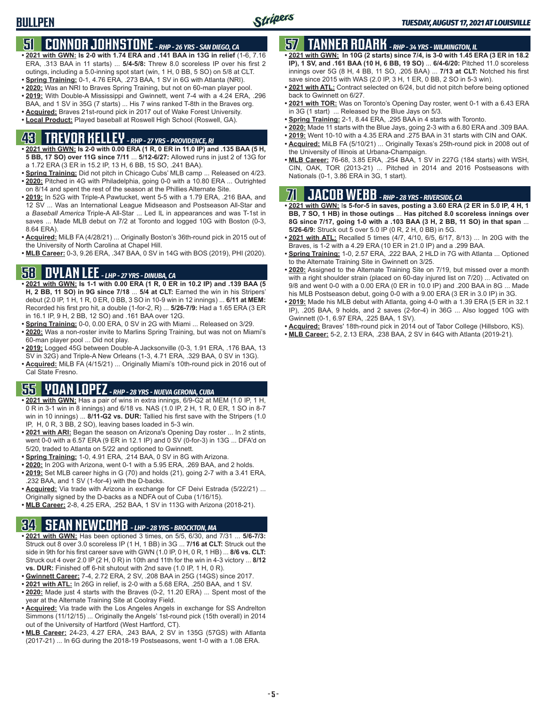### **51 CONNOR JOHNSTONE** *- RHP - 26 YRS - SAN DIEGO, CA*

- **• 2021 with GWN: Is 2-0 with 1.74 ERA and .141 BAA in 13G in relief** (1-6, 7.16 ERA, .313 BAA in 11 starts) ... **5/4-5/8:** Threw 8.0 scoreless IP over his first 2 outings, including a 5.0-inning spot start (win, 1 H, 0 BB, 5 SO) on 5/8 at CLT.
- **• Spring Training:** 0-1, 4.76 ERA, .273 BAA, 1 SV in 6G with Atlanta (NRI).
- **• 2020:** Was an NRI to Braves Spring Training, but not on 60-man player pool.
- **• 2019:** With Double-A Mississippi and Gwinnett, went 7-4 with a 4.24 ERA, .296 BAA, and 1 SV in 35G (7 starts) ... His 7 wins ranked T-8th in the Braves org.
- **• Acquired:** Braves 21st-round pick in 2017 out of Wake Forest University.
- **• Local Product:** Played baseball at Roswell High School (Roswell, GA).

## **43 TREVOR KELLEY** *- RHP - 27 YRS - PROVIDENCE, RI*

- **• 2021 with GWN: Is 2-0 with 0.00 ERA (1 R, 0 ER in 11.0 IP) and .135 BAA (5 H, 5 BB, 17 SO) over 11G since 7/11** ... **5/12-6/27:** Allowed runs in just 2 of 13G for a 1.72 ERA (3 ER in 15.2 IP, 13 H, 6 BB, 15 SO, .241 BAA).
- **• Spring Training:** Did not pitch in Chicago Cubs' MLB camp ... Released on 4/23. **• 2020:** Pitched in 4G with Philadelphia, going 0-0 with a 10.80 ERA ... Outrighted on 8/14 and spent the rest of the season at the Phillies Alternate Site.
- **• 2019:** In 52G with Triple-A Pawtucket, went 5-5 with a 1.79 ERA, .216 BAA, and 12 SV ... Was an International League Midseason and Postseason All-Star and a *Baseball America* Triple-A All-Star ... Led IL in appearances and was T-1st in saves ... Made MLB debut on 7/2 at Toronto and logged 10G with Boston (0-3, 8.64 ERA).
- **• Acquired:** MiLB FA (4/28/21) ... Originally Boston's 36th-round pick in 2015 out of the University of North Carolina at Chapel Hill.
- **• MLB Career:** 0-3, 9.26 ERA, .347 BAA, 0 SV in 14G with BOS (2019), PHI (2020).

### **58 DYLAN LEE** *- LHP - 27 YRS - DINUBA, CA*

- **• 2021 with GWN: Is 1-1 with 0.00 ERA (1 R, 0 ER in 10.2 IP) and .139 BAA (5 H, 2 BB, 11 SO) in 9G since 7/18** ... **5/4 at CLT:** Earned the win in his Stripers' debut (2.0 IP, 1 H, 1 R, 0 ER, 0 BB, 3 SO in 10-9 win in 12 innings) ... **6/11 at MEM:** Recorded his first pro hit, a double (1-for-2, R) ... **5/26-7/9:** Had a 1.65 ERA (3 ER in 16.1 IP, 9 H, 2 BB, 12 SO) and .161 BAA over 12G.
- **• Spring Training:** 0-0, 0.00 ERA, 0 SV in 2G with Miami ... Released on 3/29.
- **• 2020:** Was a non-roster invite to Marlins Spring Training, but was not on Miami's 60-man player pool ... Did not play.
- **• 2019:** Logged 45G between Double-A Jacksonville (0-3, 1.91 ERA, .176 BAA, 13 SV in 32G) and Triple-A New Orleans (1-3, 4.71 ERA, .329 BAA, 0 SV in 13G).
- **• Acquired:** MiLB FA (4/15/21) ... Originally Miami's 10th-round pick in 2016 out of Cal State Fresno.

## **55 YOAN LOPEZ** *- RHP - 28 YRS - NUEVA GERONA, CUBA*

- **• 2021 with GWN:** Has a pair of wins in extra innings, 6/9-G2 at MEM (1.0 IP, 1 H, 0 R in 3-1 win in 8 innings) and 6/18 vs. NAS (1.0 IP, 2 H, 1 R, 0 ER, 1 SO in 8-7 win in 10 innings) ... **8/11-G2 vs. DUR:** Tallied his first save with the Stripers (1.0 IP, H, 0 R, 3 BB, 2 SO), leaving bases loaded in 5-3 win.
- **• 2021 with ARI:** Began the season on Arizona's Opening Day roster ... In 2 stints, went 0-0 with a 6.57 ERA (9 ER in 12.1 IP) and 0 SV (0-for-3) in 13G ... DFA'd on 5/20, traded to Atlanta on 5/22 and optioned to Gwinnett.
- **• Spring Training:** 1-0, 4.91 ERA, .214 BAA, 0 SV in 8G with Arizona.
- **• 2020:** In 20G with Arizona, went 0-1 with a 5.95 ERA, .269 BAA, and 2 holds.
- **• 2019:** Set MLB career highs in G (70) and holds (21), going 2-7 with a 3.41 ERA, .232 BAA, and 1 SV (1-for-4) with the D-backs.
- **• Acquired:** Via trade with Arizona in exchange for CF Deivi Estrada (5/22/21) ... Originally signed by the D-backs as a NDFA out of Cuba (1/16/15).
- **• MLB Career:** 2-8, 4.25 ERA, .252 BAA, 1 SV in 113G with Arizona (2018-21).

### **34 SEAN NEWCOMB** *- LHP - 28 YRS - BROCKTON, MA*

- **• 2021 with GWN:** Has been optioned 3 times, on 5/5, 6/30, and 7/31 ... **5/6-7/3:** Struck out 8 over 3.0 scoreless IP (1 H, 1 BB) in 3G ... **7/16 at CLT:** Struck out the side in 9th for his first career save with GWN (1.0 IP, 0 H, 0 R, 1 HB) ... **8/6 vs. CLT:** Struck out 4 over 2.0 IP (2 H, 0 R) in 10th and 11th for the win in 4-3 victory ... **8/12 vs. DUR:** Finished off 6-hit shutout with 2nd save (1.0 IP, 1 H, 0 R).
- **• Gwinnett Career:** 7-4, 2.72 ERA, 2 SV, .208 BAA in 25G (14GS) since 2017.
- **• 2021 with ATL:** In 26G in relief, is 2-0 with a 5.68 ERA, .250 BAA, and 1 SV.
- **• 2020:** Made just 4 starts with the Braves (0-2, 11.20 ERA) ... Spent most of the year at the Alternate Training Site at Coolray Field.
- **• Acquired:** Via trade with the Los Angeles Angels in exchange for SS Andrelton Simmons (11/12/15) ... Originally the Angels' 1st-round pick (15th overall) in 2014 out of the University of Hartford (West Hartford, CT).
- **• MLB Career:** 24-23, 4.27 ERA, .243 BAA, 2 SV in 135G (57GS) with Atlanta (2017-21) ... In 6G during the 2018-19 Postseasons, went 1-0 with a 1.08 ERA.

### **57 TANNER ROARK** *- RHP - 34 YRS - WILMINGTON, IL*

- **• 2021 with GWN: In 10G (2 starts) since 7/4, is 3-0 with 1.45 ERA (3 ER in 18.2 IP), 1 SV, and .161 BAA (10 H, 6 BB, 19 SO)** ... **6/4-6/20:** Pitched 11.0 scoreless innings over 5G (8 H, 4 BB, 11 SO, .205 BAA) ... **7/13 at CLT:** Notched his first save since 2015 with WAS (2.0 IP, 3 H, 1 ER, 0 BB, 2 SO in 5-3 win).
- **• 2021 with ATL:** Contract selected on 6/24, but did not pitch before being optioned back to Gwinnett on 6/27.
- **• 2021 with TOR:** Was on Toronto's Opening Day roster, went 0-1 with a 6.43 ERA in 3G (1 start) ... Released by the Blue Jays on 5/3.
- **• Spring Training:** 2-1, 8.44 ERA, .295 BAA in 4 starts with Toronto.
- **• 2020:** Made 11 starts with the Blue Jays, going 2-3 with a 6.80 ERA and .309 BAA.
- **• 2019:** Went 10-10 with a 4.35 ERA and .275 BAA in 31 starts with CIN and OAK.
- **• Acquired:** MiLB FA (5/10/21) ... Originally Texas's 25th-round pick in 2008 out of the University of Illinois at Urbana-Champaign.
- **• MLB Career:** 76-68, 3.85 ERA, .254 BAA, 1 SV in 227G (184 starts) with WSH, CIN, OAK, TOR (2013-21) ... Pitched in 2014 and 2016 Postseasons with Nationals (0-1, 3.86 ERA in 3G, 1 start).

## **71 JACOB WEBB** *- RHP - 28 YRS - RIVERSIDE, CA*

**• 2021 with GWN:** I**s 5-for-5 in saves, posting a 3.60 ERA (2 ER in 5.0 IP, 4 H, 1 BB, 7 SO, 1 HB) in those outings** ... **Has pitched 8.0 scoreless innings over 8G since 7/17, going 1-0 with a .103 BAA (3 H, 2 BB, 11 SO) in that span** ... **5/26-6/9:** Struck out 5 over 5.0 IP (0 R, 2 H, 0 BB) in 5G.

- **• 2021 with ATL:** Recalled 5 times (4/7, 4/10, 6/5, 6/17, 8/13) ... In 20G with the Braves, is 1-2 with a 4.29 ERA (10 ER in 21.0 IP) and a .299 BAA.
- **• Spring Training:** 1-0, 2.57 ERA, .222 BAA, 2 HLD in 7G with Atlanta ... Optioned to the Alternate Training Site in Gwinnett on 3/25.
- **• 2020:** Assigned to the Alternate Training Site on 7/19, but missed over a month with a right shoulder strain (placed on 60-day injured list on 7/20) ... Activated on 9/8 and went 0-0 with a 0.00 ERA (0 ER in 10.0 IP) and .200 BAA in 8G ... Made his MLB Postseason debut, going 0-0 with a 9.00 ERA (3 ER in 3.0 IP) in 3G.
- **• 2019:** Made his MLB debut with Atlanta, going 4-0 with a 1.39 ERA (5 ER in 32.1 IP), .205 BAA, 9 holds, and 2 saves (2-for-4) in 36G ... Also logged 10G with Gwinnett (0-1, 6.97 ERA, .225 BAA, 1 SV).
- **• Acquired:** Braves' 18th-round pick in 2014 out of Tabor College (Hillsboro, KS).
- **• MLB Career:** 5-2, 2.13 ERA, .238 BAA, 2 SV in 64G with Atlanta (2019-21).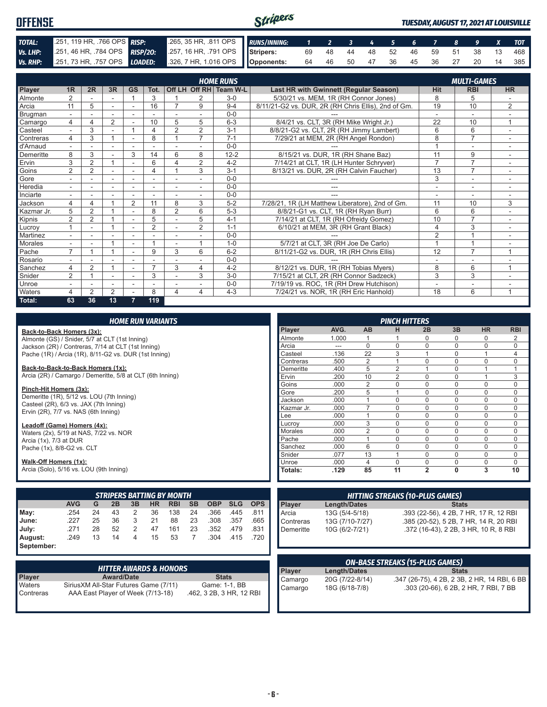| <b>OFFENSE</b> | Stripers                     |  |                                                                      |  |  |  |  |  |  |  | TUESDAY, AUGUST 17, 2021 AT LOUISVILLE      |
|----------------|------------------------------|--|----------------------------------------------------------------------|--|--|--|--|--|--|--|---------------------------------------------|
| TOTAL:         | 251, 119 HR, 766 OPS RISP:   |  | 265, 35 HR, 811 OPS RUNS/INNING: 1 2 3 4 5 6 7 8 9 X TOT             |  |  |  |  |  |  |  |                                             |
| Vs. LHP:       | 251, 46 HR, 784 OPS RISP/20: |  | 257, 16 HR, 791 OPS Stripers: 69 48 44 48 52 46 59 51 38 13 468      |  |  |  |  |  |  |  |                                             |
|                |                              |  | Vs. RHP: 251, 73 HR, 757 OPS LOADED: 326, 7 HR, 1.016 OPS Opponents: |  |  |  |  |  |  |  | 64  46  50  47  36  45  36  27  20  14  385 |

|            | <b>HOME RUNS</b><br><b>MULTI-GAMES</b> |                |                |                          |                          |                          |                |                        |                                                     |                |                          |                          |
|------------|----------------------------------------|----------------|----------------|--------------------------|--------------------------|--------------------------|----------------|------------------------|-----------------------------------------------------|----------------|--------------------------|--------------------------|
| Player     | 1 <sub>R</sub>                         | 2R             | 3R             | <b>GS</b>                | Tot.                     |                          |                | Off LH Off RH Team W-L | Last HR with Gwinnett (Regular Season)              | <b>Hit</b>     | <b>RBI</b>               | <b>HR</b>                |
| Almonte    | 2                                      |                |                |                          | 3                        |                          | 2              | $3-0$                  | 5/30/21 vs. MEM, 1R (RH Connor Jones)               | 8              | 5                        |                          |
| Arcia      | 11                                     | 5              | ۰              | $\overline{\phantom{0}}$ | 16                       |                          | 9              | $9 - 4$                | 8/11/21-G2 vs. DUR, 2R (RH Chris Ellis), 2nd of Gm. | 19             | 10                       | $\overline{2}$           |
| Brugman    |                                        |                |                |                          |                          |                          |                | $0 - 0$                |                                                     |                | $\overline{\phantom{a}}$ |                          |
| Camargo    | $\overline{4}$                         | Δ              | $\overline{2}$ |                          | 10                       | 5                        | 5              | $6 - 3$                | 8/4/21 vs. CLT, 3R (RH Mike Wright Jr.)             | 22             | 10                       | 1                        |
| Casteel    |                                        | 3              |                |                          | 4                        | $\overline{2}$           | 2              | $3 - 1$                | 8/8/21-G2 vs. CLT, 2R (RH Jimmy Lambert)            | 6              | 6                        |                          |
| Contreras  | 4                                      | 3              |                | $\overline{\phantom{a}}$ | 8                        |                          | $\overline{7}$ | $7 - 1$                | 7/29/21 at MEM, 2R (RH Angel Rondon)                | 8              | $\overline{7}$           |                          |
| d'Arnaud   |                                        |                | ۰              | ٠                        |                          |                          |                | $0 - 0$                |                                                     |                | ۰                        | ٠                        |
| Demeritte  | 8                                      | 3              |                | 3                        | 14                       | 6                        | 8              | $12 - 2$               | 8/15/21 vs. DUR, 1R (RH Shane Baz)                  | 11             | 9                        |                          |
| Ervin      | 3                                      | 2              |                | ٠                        | 6                        | $\Delta$                 | 2              | $4 - 2$                | 7/14/21 at CLT, 1R (LH Hunter Schryver)             | $\overline{7}$ | $\overline{7}$           | $\sim$                   |
| Goins      | $\overline{2}$                         | $\overline{2}$ |                |                          | 4                        |                          | 3              | $3 - 1$                | 8/13/21 vs. DUR, 2R (RH Calvin Faucher)             | 13             | $\overline{7}$           |                          |
| Gore       |                                        |                | ۰              | ٠                        | ۰                        |                          |                | $0 - 0$                |                                                     | 3              | $\overline{a}$           |                          |
| Heredia    | $\sim$                                 |                | ۰              | ۰                        | ۰                        |                          |                | $0 - 0$                |                                                     |                | ۰                        |                          |
| Inciarte   | $\sim$                                 |                |                | $\overline{\phantom{a}}$ |                          |                          |                | $0 - 0$                |                                                     | ٠              | ٠                        |                          |
| Jackson    | 4                                      | 4              |                | 2                        | 11                       | 8                        | 3              | $5 - 2$                | 7/28/21, 1R (LH Matthew Liberatore), 2nd of Gm.     | 11             | 10                       | 3                        |
| Kazmar Jr. | 5                                      | $\overline{2}$ |                |                          | 8                        | $\overline{2}$           | 6              | $5 - 3$                | 8/8/21-G1 vs. CLT, 1R (RH Ryan Burr)                | 6              | 6                        |                          |
| Kipnis     | $\overline{2}$                         | $\overline{2}$ |                | ۰                        | 5                        |                          | 5              | $4 - 1$                | 7/14/21 at CLT, 1R (RH Ofreidy Gomez)               | 10             | $\overline{7}$           | ٠                        |
| Lucrov     |                                        |                |                |                          | $\overline{2}$           |                          | $\overline{2}$ | $1 - 1$                | 6/10/21 at MEM, 3R (RH Grant Black)                 | 4              | 3                        | ٠                        |
| Martinez   |                                        |                |                |                          |                          |                          |                | $0 - 0$                |                                                     | $\overline{2}$ |                          |                          |
| Morales    | $\overline{\phantom{a}}$               |                |                | $\overline{\phantom{a}}$ |                          | $\overline{\phantom{a}}$ |                | $1 - 0$                | 5/7/21 at CLT, 3R (RH Joe De Carlo)                 |                |                          | $\overline{\phantom{a}}$ |
| Pache      | $\overline{ }$                         |                |                | ÷                        | 9                        | 3                        | 6              | $6 - 2$                | 8/11/21-G2 vs. DUR, 1R (RH Chris Ellis)             | 12             | $\overline{7}$           | $\overline{ }$           |
| Rosario    |                                        |                |                |                          |                          |                          |                | $0 - 0$                |                                                     |                | ۰                        |                          |
| Sanchez    | 4                                      | $\overline{2}$ |                |                          | $\overline{\phantom{a}}$ | 3                        | 4              | $4 - 2$                | 8/12/21 vs. DUR, 1R (RH Tobias Myers)               | 8              | 6                        | $\overline{A}$           |
| Snider     | $\overline{2}$                         |                | ۰              | ۰                        | 3                        |                          | 3              | $3-0$                  | 7/15/21 at CLT, 2R (RH Connor Sadzeck)              | 3              | 3                        |                          |
| Unroe      | $\overline{\phantom{a}}$               |                | ۰              | ۰                        | ٠                        |                          |                | $0-0$                  | 7/19/19 vs. ROC, 1R (RH Drew Hutchison)             | ۰              | ۰                        | $\overline{\phantom{a}}$ |
| Waters     | 4                                      | $\overline{2}$ | $\overline{2}$ |                          | 8                        | 4                        | 4              | $4 - 3$                | 7/24/21 vs. NOR, 1R (RH Eric Hanhold)               | 18             | 6                        | $\overline{A}$           |
| Total:     | 63                                     | 36             | 13             |                          | 119                      |                          |                |                        |                                                     |                |                          |                          |

|                                                           |            |    |            |    | <b>HOME RUN VARIANTS</b>          |            |                |              |            |            |               |                     |                | <b>PINCH HITTERS</b>                   |                |              |                                        |                |
|-----------------------------------------------------------|------------|----|------------|----|-----------------------------------|------------|----------------|--------------|------------|------------|---------------|---------------------|----------------|----------------------------------------|----------------|--------------|----------------------------------------|----------------|
| Back-to-Back Homers (3x):                                 |            |    |            |    |                                   |            |                |              |            |            | Player        | AVG.                | <b>AB</b>      | н                                      | 2B             | 3B           | <b>HR</b>                              | <b>RBI</b>     |
| Almonte (GS) / Snider, 5/7 at CLT (1st Inning)            |            |    |            |    |                                   |            |                |              |            |            | Almonte       | 1.000               |                |                                        | $\Omega$       | <sup>0</sup> | 0                                      | 2              |
| Jackson (2R) / Contreras, 7/14 at CLT (1st Inning)        |            |    |            |    |                                   |            |                |              |            |            | Arcia         | ---                 | $\Omega$       | $\Omega$                               | $\Omega$       | $\Omega$     | $\Omega$                               | $\mathbf 0$    |
| Pache (1R) / Arcia (1R), 8/11-G2 vs. DUR (1st Inning)     |            |    |            |    |                                   |            |                |              |            |            | Casteel       | .136                | 22             | 3                                      |                | $\Omega$     |                                        | $\overline{4}$ |
|                                                           |            |    |            |    |                                   |            |                |              |            |            | Contreras     | .500                | $\overline{2}$ |                                        | $\Omega$       | $\Omega$     | $\Omega$                               | $\mathbf 0$    |
| Back-to-Back-to-Back Homers (1x):                         |            |    |            |    |                                   |            |                |              |            |            | Demeritte     | .400                | 5              | 2                                      |                | $\Omega$     | $\overline{1}$                         | $\mathbf{1}$   |
| Arcia (2R) / Camargo / Demeritte, 5/8 at CLT (6th Inning) |            |    |            |    |                                   |            |                |              |            |            | Ervin         | .200                | 10             | $\overline{2}$                         | $\mathbf{0}$   | $\Omega$     |                                        | 3              |
| Pinch-Hit Homers (3x):                                    |            |    |            |    |                                   |            |                |              |            |            | Goins         | .000                | 2              | $\Omega$                               | $\Omega$       | $\Omega$     | $\mathbf 0$                            | $\mathbf 0$    |
| Demeritte (1R), 5/12 vs. LOU (7th Inning)                 |            |    |            |    |                                   |            |                |              |            |            | Gore          | .200                | 5              |                                        | $\Omega$       | $\Omega$     | $\Omega$                               | $\mathbf 0$    |
| Casteel (2R), 6/3 vs. JAX (7th Inning)                    |            |    |            |    |                                   |            |                |              |            |            | Jackson       | .000                |                | $\Omega$                               | $\Omega$       | $\Omega$     | $\Omega$                               | $\mathbf 0$    |
| Ervin (2R), 7/7 vs. NAS (6th Inning)                      |            |    |            |    |                                   |            |                |              |            |            | Kazmar Jr.    | .000                | $\overline{7}$ | $\Omega$                               | $\Omega$       | $\Omega$     | $\mathbf 0$                            | $\mathbf 0$    |
|                                                           |            |    |            |    |                                   |            |                |              |            |            | Lee           | .000                |                | $\Omega$                               | $\Omega$       | $\Omega$     | $\Omega$                               | $\mathbf 0$    |
| Leadoff (Game) Homers (4x):                               |            |    |            |    |                                   |            |                |              |            |            | Lucrov        | .000                | 3              | $\Omega$                               | $\Omega$       | $\Omega$     | $\Omega$                               | $\mathbf 0$    |
| Waters (2x), 5/19 at NAS, 7/22 vs. NOR                    |            |    |            |    |                                   |            |                |              |            |            | Morales       | .000                | $\overline{2}$ | $\Omega$                               | $\Omega$       | $\Omega$     | $\Omega$                               | $\mathbf 0$    |
| Arcia (1x), 7/3 at DUR                                    |            |    |            |    |                                   |            |                |              |            |            | Pache         | .000                |                | $\Omega$                               | $\Omega$       | $\Omega$     | $\Omega$                               | $\mathbf 0$    |
| Pache (1x), 8/8-G2 vs. CLT                                |            |    |            |    |                                   |            |                |              |            |            | Sanchez       | .000                | 6              | $\Omega$                               | $\Omega$       | $\Omega$     | $\Omega$                               | 0              |
|                                                           |            |    |            |    |                                   |            |                |              |            |            | Snider        | .077                | 13             |                                        | $\Omega$       | $\Omega$     | $\mathbf 0$                            | $\mathbf 0$    |
| Walk-Off Homers (1x):                                     |            |    |            |    |                                   |            |                |              |            |            | Unroe         | .000                | $\overline{4}$ | $\Omega$                               | $\Omega$       | $\Omega$     | $\mathbf 0$                            | $\mathbf 0$    |
| Arcia (Solo), 5/16 vs. LOU (9th Inning)                   |            |    |            |    |                                   |            |                |              |            |            | Totals:       | .129                | 85             | 11                                     | $\overline{2}$ | $\mathbf{0}$ | 3                                      | 10             |
|                                                           |            |    |            |    |                                   |            |                |              |            |            |               |                     |                |                                        |                |              |                                        |                |
|                                                           |            |    |            |    | <b>STRIPERS BATTING BY MONTH</b>  |            |                |              |            |            |               |                     |                | <b>HITTING STREAKS (10-PLUS GAMES)</b> |                |              |                                        |                |
|                                                           | <b>AVG</b> | G  | 2B         | 3B | <b>HR</b>                         | <b>RBI</b> | <b>SB</b>      | <b>OBP</b>   | <b>SLG</b> | <b>OPS</b> | Player        | <b>Length/Dates</b> |                |                                        |                | <b>Stats</b> |                                        |                |
| May:                                                      | .254       | 24 | 43         | 2  | 36                                | 138        | 24             | .366         | .445       | .811       | Arcia         | 13G (5/4-5/18)      |                |                                        |                |              | .393 (22-56), 4 2B, 7 HR, 17 R, 12 RBI |                |
| June:                                                     | .227       | 25 | 36         | 3  | 21                                | 88         | 23             | .308         | .357       | .665       | Contreras     | 13G (7/10-7/27)     |                |                                        |                |              | .385 (20-52), 5 2B, 7 HR, 14 R, 20 RBI |                |
| July:                                                     | .271       | 28 | 52         | 2  | 47                                | 161        | 23             | .352         | .479       | .831       | Demeritte     | 10G (6/2-7/21)      |                |                                        |                |              | .372 (16-43), 2 2B, 3 HR, 10 R, 8 RBI  |                |
| August:                                                   | .249       | 13 | 14         | 4  | 15                                | 53         | $\overline{7}$ | .304         | .415       | .720       |               |                     |                |                                        |                |              |                                        |                |
| September:                                                |            |    |            |    |                                   |            |                |              |            |            |               |                     |                |                                        |                |              |                                        |                |
|                                                           |            |    |            |    |                                   |            |                |              |            |            |               |                     |                | <b>ON-BASE STREAKS (15-PLUS GAMES)</b> |                |              |                                        |                |
|                                                           |            |    |            |    | <b>HITTER AWARDS &amp; HONORS</b> |            |                |              |            |            | <b>Player</b> | <b>Length/Dates</b> |                |                                        |                | <b>Stats</b> |                                        |                |
| <b>Diavor</b>                                             |            |    | Award/Dato |    |                                   |            |                | <b>State</b> |            |            |               |                     |                |                                        |                |              |                                        |                |

| <b>HITTER AWARDS &amp; HONORS</b> |                                        |                                  |  |  |  |  |  |  |
|-----------------------------------|----------------------------------------|----------------------------------|--|--|--|--|--|--|
| Player                            | <b>Award/Date</b>                      | <b>Stats</b>                     |  |  |  |  |  |  |
| Waters                            | Sirius XM All-Star Futures Game (7/11) | Game: 1-1, BB                    |  |  |  |  |  |  |
| Contreras                         | AAA East Player of Week (7/13-18)      | - 11<br>.462, 3 2B, 3 HR, 12 RBI |  |  |  |  |  |  |

|         |                 | <b>ON-BASE STREAKS (15-PLUS GAMES)</b>       |
|---------|-----------------|----------------------------------------------|
| Player  | Length/Dates    | <b>Stats</b>                                 |
| Camargo | 20G (7/22-8/14) | .347 (26-75), 4 2B, 2 3B, 2 HR, 14 RBI, 6 BB |
| Camargo | 18G (6/18-7/8)  | .303 (20-66), 6 2B, 2 HR, 7 RBI, 7 BB        |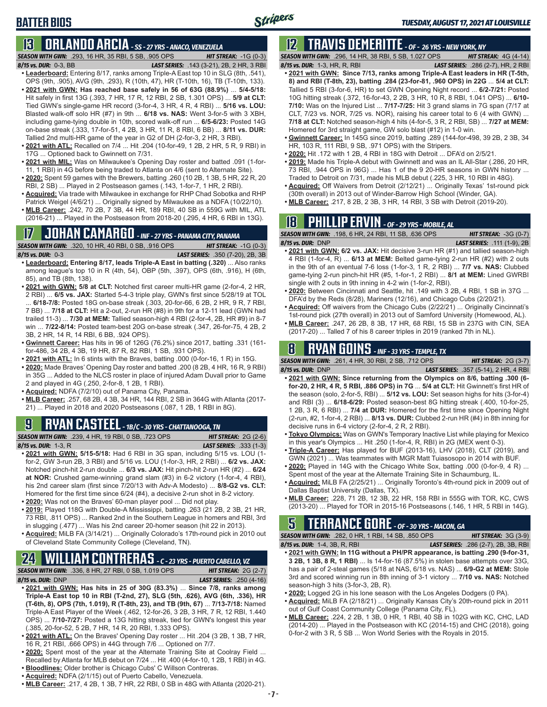### **BATTER BIOS**

### **13 ORLANDO ARCIA** *- SS - 27 YRS - ANACO, VENEZUELA*

*SEASON WITH GWN:*.293, 16 HR, 35 RBI, 5 SB, .905 OPS *HIT STREAK:* -1G (0-3)

- 
- *8/15 vs. DUR:*0-3, BB *LAST SERIES:* .143 (3-21), 2B, 2 HR, 3 RBI **• Leaderboard:** Entering 8/17, ranks among Triple-A East top 10 in SLG (8th, .541),
- OPS (9th, .905), AVG (9th, .293), R (10th, 47), HR (T-10th, 16), TB (T-10th, 133). **• 2021 with GWN: Has reached base safely in 56 of 63G (88.9%)** ... **5/4-5/18:**  Hit safely in first 13G (.393, 7 HR, 17 R, 12 RBI, 2 SB, 1.301 OPS) ... **5/9 at CLT:** Tied GWN's single-game HR record (3-for-4, 3 HR, 4 R, 4 RBI) ... **5/16 vs. LOU:** Blasted walk-off solo HR (#7) in 9th ... **6/18 vs. NAS:** Went 3-for-5 with 3 XBH, including game-tying double in 10th, scored walk-off run ... **6/5-6/23:** Posted 14G on-base streak (.333, 17-for-51, 4 2B, 3 HR, 11 R, 8 RBI, 6 BB) ... **8/11 vs. DUR:** Tallied 2nd multi-HR game of the year in G2 of DH (2-for-3, 2 HR, 3 RBI).
- **• 2021 with ATL:** Recalled on 7/4 ... Hit .204 (10-for-49, 1 2B, 2 HR, 5 R, 9 RBI) in 17G ... Optioned back to Gwinnett on 7/31.
- **• 2021 with MIL:** Was on Milwaukee's Opening Day roster and batted .091 (1-for-11, 1 RBI) in 4G before being traded to Atlanta on 4/6 (sent to Alternate Site).
- **• 2020:** Spent 59 games with the Brewers, batting .260 (10 2B, 1 3B, 5 HR, 22 R, 20 RBI, 2 SB) ... Played in 2 Postseason games (.143, 1-for-7, 1 HR, 2 RBI).
- **• Acquired:** Via trade with Milwaukee in exchange for RHP Chad Sobotka and RHP Patrick Weigel (4/6/21) ... Originally signed by Milwaukee as a NDFA (10/22/10).
- **• MLB Career:** .242, 70 2B, 7 3B, 44 HR, 189 RBI, 40 SB in 559G with MIL, ATL (2016-21) ... Played in the Postseason from 2018-20 (.295, 4 HR, 6 RBI in 13G).

# **17 JOHAN CAMARGO** *- INF - 27 YRS - PANAMA CITY, PANAMA*

**SEASON WITH GWN:** .320, 10 HR, 40 RBI, 0 SB, .916 OPS

- *8/15 vs. DUR:* 0-3 *LAST SERIES:* .350 (7-20), 2B, 3B **• Leaderboard: Entering 8/17, leads Triple-A East in batting (.320)** ... Also ranks among league's top 10 in R (4th, 54), OBP (5th, .397), OPS (6th, .916), H (6th, 85), and TB (8th, 138).
- **• 2021 with GWN: 5/8 at CLT:** Notched first career multi-HR game (2-for-4, 2 HR, 2 RBI) ... **6/5 vs. JAX:** Started 5-4-3 triple play, GWN's first since 5/28/19 at TOL ... **6/18-7/8:** Posted 18G on-base streak (.303, 20-for-66, 6 2B, 2 HR, 9 R, 7 RBI, 7 BB) ... **7/18 at CLT:** Hit a 2-out, 2-run HR (#8) in 9th for a 12-11 lead (GWN had trailed 11-3) ... **7/30 at MEM:** Tallied season-high 4 RBI (2-for-4, 2B, HR #9) in 8-7 win ... **7/22-8/14:** Posted team-best 20G on-base streak (.347, 26-for-75, 4 2B, 2 3B, 2 HR, 14 R, 14 RBI, 6 BB, .924 OPS).
- **• Gwinnett Career:** Has hits in 96 of 126G (76.2%) since 2017, batting .331 (161 for-486, 34 2B, 4 3B, 19 HR, 87 R, 82 RBI, 1 SB, .931 OPS).
- **• 2021 with ATL:** In 6 stints with the Braves, batting .000 (0-for-16, 1 R) in 15G.
- **• 2020:** Made Braves' Opening Day roster and batted .200 (8 2B, 4 HR, 16 R, 9 RBI) in 35G ... Added to the NLCS roster in place of injured Adam Duvall prior to Game 2 and played in 4G (.250, 2-for-8, 1 2B, 1 RBI).
- **• Acquired:** NDFA (7/2/10) out of Panama City, Panama.
- **• MLB Career:** .257, 68 2B, 4 3B, 34 HR, 144 RBI, 2 SB in 364G with Atlanta (2017- 21) ... Played in 2018 and 2020 Postseasons (.087, 1 2B, 1 RBI in 8G).

### **9 RYAN CASTEEL** *- 1B/C - 30 YRS - CHATTANOOGA, TN*

*SEASON WITH GWN:*.239, 4 HR, 19 RBI, 0 SB, .723 OPS *HIT STREAK:* 2G (2-6) *8/15 vs. DUR:*1-3, R *LAST SERIES:* .333 (1-3)

- **• 2021 with GWN: 5/15-5/18:** Had 6 RBI in 3G span, including 5/15 vs. LOU (1 for-2, GW 3-run 2B, 3 RBI) and 5/16 vs. LOU (1-for-3, HR, 2 RBI) ... **6/2 vs. JAX:** Notched pinch-hit 2-run double ... **6/3 vs. JAX:** Hit pinch-hit 2-run HR (#2) ... **6/24 at NOR:** Crushed game-winning grand slam (#3) in 6-2 victory (1-for-4, 4 RBI), his 2nd career slam (first since 7/20/13 with Adv-A Modesto) ... **8/8-G2 vs. CLT:** Homered for the first time since 6/24 (#4), a decisive 2-run shot in 8-2 victory.
- **• 2020:** Was not on the Braves' 60-man player pool ... Did not play.
- **• 2019:** Played 118G with Double-A Mississippi, batting .263 (21 2B, 2 3B, 21 HR, 73 RBI, .811 OPS) ... Ranked 2nd in the Southern League in homers and RBI, 3rd in slugging (.477) ... Was his 2nd career 20-homer season (hit 22 in 2013).
- **• Acquired:** MiLB FA (3/14/21) ... Originally Colorado's 17th-round pick in 2010 out of Cleveland State Community College (Cleveland, TN).

### **24 WILLIAM CONTRERAS** *- C - 23 YRS - PUERTO CABELLO, VZ*

*SEASON WITH GWN:*.336, 8 HR, 27 RBI, 0 SB, 1.019 OPS *HIT STREAK:* 2G (2-7)

*8/15 vs. DUR:* DNP *LAST SERIES:* .250 (4-16)

- **• 2021 with GWN: Has hits in 25 of 30G (83.3%)** ... **Since 7/8, ranks among Triple-A East top 10 in RBI (T-2nd, 27), SLG (5th, .626), AVG (6th, .336), HR (T-6th, 8), OPS (7th, 1.019), R (T-8th, 23), and TB (9th, 67)** ... **7/13-7/18:** Named Triple-A East Player of the Week (.462, 12-for-26, 3 2B, 3 HR, 7 R, 12 RBI, 1.440 OPS) ... **7/10-7/27:** Posted a 13G hitting streak, tied for GWN's longest this year (.385, 20-for-52, 5 2B, 7 HR, 14 R, 20 RBI, 1.333 OPS).
- **• 2021 with ATL:** On the Braves' Opening Day roster ... Hit .204 (3 2B, 1 3B, 7 HR, 16 R, 21 RBI, .666 OPS) in 44G through 7/6 ... Optioned on 7/7.
- **• 2020:** Spent most of the year at the Alternate Training Site at Coolray Field ... Recalled by Atlanta for MLB debut on 7/24 ... Hit .400 (4-for-10, 1 2B, 1 RBI) in 4G.
- **• Bloodlines:** Older brother is Chicago Cubs' C Willson Contreras.
- **• Acquired:** NDFA (2/1/15) out of Puerto Cabello, Venezuela.
- **• MLB Career:** .217, 4 2B, 1 3B, 7 HR, 22 RBI, 0 SB in 48G with Atlanta (2020-21).

## **12 TRAVIS DEMERITTE** *- OF - 26 YRS - NEW YORK, NY*

*SEASON WITH GWN:*.296, 14 HR, 38 RBI, 5 SB, 1.027 OPS *HIT STREAK:* 4G (4-14)

*8/15 vs. DUR:*1-3, HR, R, RBI *LAST SERIES:* .286 (2-7), HR, 2 RBI

- **• 2021 with GWN: Since 7/13, ranks among Triple-A East leaders in HR (T-5th, 8) and RBI (T-8th, 23), batting .284 (23-for-81, .960 OPS) in 22G** ... **5/4 at CLT:**  Tallied 5 RBI (3-for-6, HR) to set GWN Opening Night record ... **6/2-7/21:** Posted 10G hitting streak (.372, 16-for-43, 2 2B, 3 HR, 10 R, 8 RBI, 1.041 OPS) ... **6/10- 7/10:** Was on the Injured List ... **7/17-7/25:** Hit 3 grand slams in 7G span (7/17 at CLT, 7/23 vs. NOR, 7/25 vs. NOR), raising his career total to 6 (4 with GWN) ... **7/18 at CLT:** Notched season-high 4 hits (4-for-5, 3 R, 2 RBI, SB) ... **7/27 at MEM:** Homered for 3rd straight game, GW solo blast (#12) in 1-0 win.
- **• Gwinnett Career:** In 145G since 2019, batting .289 (144-for-498, 39 2B, 2 3B, 34 HR, 103 R, 111 RBI, 9 SB, .971 OPS) with the Stripers.
- **• 2020:** Hit .172 with 1 2B, 4 RBI in 18G with Detroit ... DFA'd on 2/5/21.
- **• 2019:** Made his Triple-A debut with Gwinnett and was an IL All-Star (.286, 20 HR, 73 RBI, .944 OPS in 96G) ... Has 1 of the 9 20-HR seasons in GWN history ... Traded to Detroit on 7/31, made his MLB debut (.225, 3 HR, 10 RBI in 48G).
- **• Acquired:** Off Waivers from Detroit (2/12/21) ... Originally Texas' 1st-round pick (30th overall) in 2013 out of Winder-Barrow High School (Winder, GA).
- **• MLB Career:** .217, 8 2B, 2 3B, 3 HR, 14 RBI, 3 SB with Detroit (2019-20).

## **18 PHILLIP ERVIN** *- OF - 29 YRS - MOBILE, AL*

*SEASON WITH GWN:*.198, 6 HR, 24 RBI, 11 SB, .636 OPS *HIT STREAK:* -3G (0-7) *8/15 vs. DUR:*DNP *LAST SERIES:* .111 (1-9), 2B

- **• 2021 with GWN: 6/2 vs. JAX:** Hit decisive 3-run HR (#1) and tallied season-high 4 RBI (1-for-4, R) ... **6/13 at MEM:** Belted game-tying 2-run HR (#2) with 2 outs in the 9th of an eventual 7-6 loss (1-for-3, 1 R, 2 RBI) ... **7/7 vs. NAS:** Clubbed game-tying 2-run pinch-hit HR (#5, 1-for-1, 2 RBI) ... **8/1 at MEM:** Lined GWRBI single with 2 outs in 9th inning in 4-2 win (1-for-2, RBI).
- **• 2020:** Between Cincinnati and Seattle, hit .149 with 3 2B, 4 RBI, 1 SB in 37G ... DFA'd by the Reds (8/28), Mariners (12/16), and Chicago Cubs (2/20/21).
- **• Acquired:** Off waivers from the Chicago Cubs (2/22/21) ... Originally Cincinnati's 1st-round pick (27th overall) in 2013 out of Samford University (Homewood, AL).
- **• MLB Career:** .247, 26 2B, 8 3B, 17 HR, 68 RBI, 15 SB in 237G with CIN, SEA (2017-20) ... Talled 7 of his 8 career triples in 2019 (ranked 7th in NL).

## **8 RYAN GOINS** *- INF - 33 YRS - TEMPLE, TX*

*SEASON WITH GWN:*.261, 4 HR, 30 RBI, 2 SB, .712 OPS *HIT STREAK:* 2G (3-7)

- *8/15 vs. DUR:*DNP *LAST SERIES:* .357 (5-14), 2 HR, 4 RBI **• 2021 with GWN: Since returning from the Olympics on 8/6, batting .300 (6 for-20, 2 HR, 4 R, 5 RBI, .886 OPS) in 7G** ... **5/4 at CLT:** Hit Gwinnett's first HR of the season (solo, 2-for-5, RBI) ... **5/12 vs. LOU:** Set season highs for hits (3-for-4) and RBI (3) ... **6/18-6/29:** Posted season-best 8G hitting streak (.400, 10-for-25, 1 2B, 3 R, 6 RBI) ... **7/4 at DUR:** Homered for the first time since Opening Night (2-run, #2, 1-for-4, 2 RBI) ... **8/13 vs. DUR:** Clubbed 2-run HR (#4) in 8th inning for decisive runs in 6-4 victory (2-for-4, 2 R, 2 RBI).
- **• Tokyo Olympics:** Was on GWN's Temporary Inactive List while playing for Mexico in this year's Olympics ... Hit .250 (1-for-4, R, RBI) in 2G (MEX went 0-3).
- **• Triple-A Career:** Has played for BUF (2013-16), LHV (2018), CLT (2019), and GWN (2021) ... Was teammates with MGR Matt Tuiasosopo in 2014 with BUF.
- **• 2020:** Played in 14G with the Chicago White Sox, batting .000 (0-for-9, 4 R) ... Spent most of the year at the Alternate Training Site in Schaumburg, IL.
- **• Acquired:** MiLB FA (2/25/21) ... Originally Toronto's 4th-round pick in 2009 out of Dallas Baptist University (Dallas, TX).
- **• MLB Career:** .228, 71 2B, 12 3B, 22 HR, 158 RBI in 555G with TOR, KC, CWS (2013-20) ... Played for TOR in 2015-16 Postseasons (.146, 1 HR, 5 RBI in 14G).

### **5 TERRANCE GORE** *- OF - 30 YRS - MACON, GA*

*SEASON WITH GWN:*.282, 0 HR, 1 RBI, 14 SB, .850 OPS *HIT STREAK:* 3G (3-9) *8/15 vs. DUR:*1-4, 3B, R, RBI *LAST SERIES:* .286 (2-7), 2B, 3B, RBI

- **• 2021 with GWN: In 11G without a PH/PR appearance, is batting .290 (9-for-31, 3 2B, 1 3B, 8 R, 1 RBI)** ... Is 14-for-16 (87.5%) in stolen base attempts over 33G, has a pair of 2-steal games (5/18 at NAS, 6/18 vs. NAS) ... **6/9-G2 at MEM:** Stole 3rd and scored winning run in 8th inning of 3-1 victory ... **7/10 vs. NAS:** Notched season-high 3 hits (3-for-3, 2B, R).
- **• 2020:** Logged 2G in his lone season with the Los Angeles Dodgers (0 PA).
- **• Acquired:** MiLB FA (2/18/21) ... Originally Kansas City's 20th-round pick in 2011 out of Gulf Coast Community College (Panama City, FL).
- **• MLB Career:** .224, 2 2B, 1 3B, 0 HR, 1 RBI, 40 SB in 102G with KC, CHC, LAD (2014-20) ... Played in the Postseason with KC (2014-15) and CHC (2018), going 0-for-2 with 3 R, 5 SB ... Won World Series with the Royals in 2015.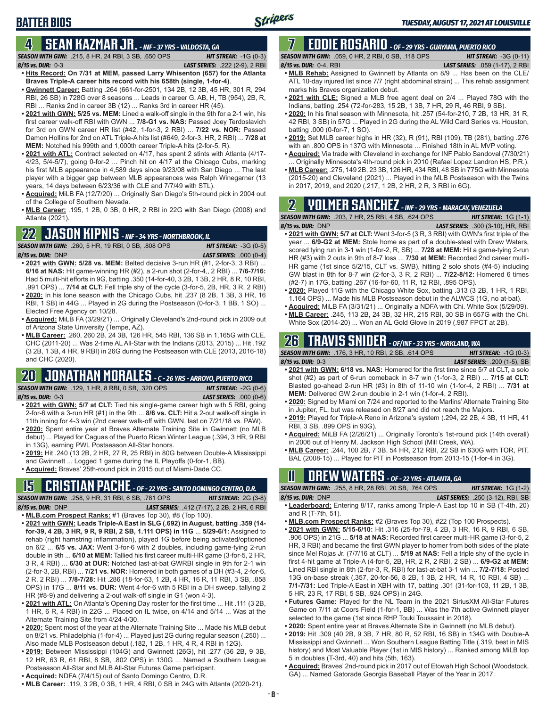# **BATTER BIOS**

### **4 SEAN KAZMAR JR.** *- INF - 37 YRS - VALDOSTA, GA*

*SEASON WITH GWN:*.215, 8 HR, 24 RBI, 3 SB, .650 OPS *HIT STREAK:* -1G (0-3) *8/15 vs. DUR:*0-3 *LAST SERIES:* .222 (2-9), 2 RBI

- **• Hits Record: On 7/31 at MEM, passed Larry Whisenton (657) for the Atlanta Braves Triple-A career hits record with his 658th (single, 1-for-4)**. **• Gwinnett Career:** Batting .264 (661-for-2501, 134 2B, 12 3B, 45 HR, 301 R, 294
- RBI, 26 SB) in 728G over 8 seasons ... Leads in career G, AB, H, TB (954), 2B, R, RBI ... Ranks 2nd in career 3B (12) ... Ranks 3rd in career HR (45).
- **• 2021 with GWN: 5/25 vs. MEM:** Lined a walk-off single in the 9th for a 2-1 win, his first career walk-off RBI with GWN ... **7/8-G1 vs. NAS:** Passed Joey Terdoslavich for 3rd on GWN career HR list (#42, 1-for-3, 2 RBI) ... **7/22 vs. NOR:** Passed Damon Hollins for 2nd on ATL Triple-A hits list (#649, 2-for-3, HR, 2 RBI) ... **7/28 at MEM:** Notched his 999th and 1,000th career Triple-A hits (2-for-5, R).
- **• 2021 with ATL:** Contract selected on 4/17, has spent 2 stints with Atlanta (4/17- 4/23, 5/4-5/7), going 0-for-2 ... Pinch hit on 4/17 at the Chicago Cubs, marking his first MLB appearance in 4,589 days since 9/23/08 with San Diego ... The last player with a bigger gap between MLB appearances was Ralph Winegarner (13 years, 14 days between 6/23/36 with CLE and 7/7/49 with STL).
- **• Acquired:** MiLB FA (12/7/20) ... Originally San Diego's 5th-round pick in 2004 out of the College of Southern Nevada.
- **• MLB Career:** .195, 1 2B, 0 3B, 0 HR, 2 RBI in 22G with San Diego (2008) and Atlanta (2021).

#### **22 JASON KIPNIS** *- INF - 34 YRS - NORTHBROOK, IL*

*SEASON WITH GWN:*.260, 5 HR, 19 RBI, 0 SB, .808 OPS *HIT STREAK:* -3G (0-5) *8/15 vs. DUR:*DNP *LAST SERIES:* .000 (0-4)

- **• 2021 with GWN: 5/28 vs. MEM:** Belted decisive 3-run HR (#1, 2-for-3, 3 RBI) ... **6/16 at NAS:** Hit game-winning HR (#2), a 2-run shot (2-for-4,, 2 RBI) ... **7/6-7/16:** Had 5 multi-hit efforts in 9G, batting .350 (14-for-40, 3 2B, 1 3B, 2 HR, 8 R, 10 RBI, .991 OPS) ... **7/14 at CLT:** Fell triple shy of the cycle (3-for-5, 2B, HR, 3 R, 2 RBI) **• 2020:** In his lone season with the Chicago Cubs, hit .237 (8 2B, 1 3B, 3 HR, 16
- RBI, 1 SB) in 44G ... Played in 2G during the Postseason (0-for-3, 1 BB, 1 SO) ... Elected Free Agency on 10/28.
- **• Acquired:** MiLB FA (3/29/21) ... Originally Cleveland's 2nd-round pick in 2009 out of Arizona State University (Tempe, AZ).
- **• MLB Career:** .260, 260 2B, 24 3B, 126 HR, 545 RBI, 136 SB in 1,165G with CLE, CHC (2011-20) ... Was 2-time AL All-Star with the Indians (2013, 2015) ... Hit .192 (3 2B, 1 3B, 4 HR, 9 RBI) in 26G during the Postseason with CLE (2013, 2016-18) and CHC (2020).

## **20 JONATHAN MORALES** *- C - 26 YRS - ARROYO, PUERTO RICO*

*SEASON WITH GWN:*.129, 1 HR, 8 RBI, 0 SB, .320 OPS *HIT STREAK:* -2G (0-6)

*8/15 vs. DUR:*0-3 *LAST SERIES:* .000 (0-6)

- **• 2021 with GWN: 5/7 at CLT:** Tied his single-game career high with 5 RBI, going 2-for-6 with a 3-run HR (#1) in the 9th ... **8/6 vs. CLT:** Hit a 2-out walk-off single in 11th inning for 4-3 win (2nd career walk-off with GWN, last on 7/21/18 vs. PAW).
- **• 2020:** Spent entire year at Braves Alternate Training Site in Gwinnett (no MLB debut) ... Played for Caguas of the Puerto Rican Winter League (.394, 3 HR, 9 RBI in 13G), earning PWL Postseason All-Star honors.
- **• 2019:** Hit .240 (13 2B, 2 HR, 27 R, 25 RBI) in 80G between Double-A Mississippi and Gwinnett ... Logged 1 game during the IL Playoffs (0-for-1, BB).
- **• Acquired:** Braves' 25th-round pick in 2015 out of Miami-Dade CC.

### **15 CRISTIAN PACHE** *- OF - 22 YRS - SANTO DOMINGO CENTRO, D.R.*

*SEASON WITH GWN:*.258, 9 HR, 31 RBI, 6 SB, .781 OPS *HIT STREAK:* 2G (3-8) *8/15 vs. DUR:* DNP *LAST SERIES:* .412 (7-17), 2 2B, 2 HR, 6 RBI **• MLB.com Prospect Ranks:** #1 (Braves Top 30), #8 (Top 100).

- **• 2021 with GWN: Leads Triple-A East in SLG (.692) in August, batting .359 (14 for-39, 4 2B, 3 HR, 9 R, 9 RBI, 2 SB, 1.111 OPS) in 11G** ... **5/29-6/1:** Assigned to rehab (right hamstring inflammation), played 1G before being activated/optioned on 6/2 ... **6/5 vs. JAX:** Went 3-for-6 with 2 doubles, including game-tying 2-run double in 9th ... **6/10 at MEM:** Tallied his first career multi-HR game (3-for-5, 2 HR, 3 R, 4 RBI) ... **6/30 at DUR:** Notched last-at-bat GWRBI single in 9th for 2-1 win (2-for-3, 2B, RBI) ... **7/21 vs. NOR:** Homered in both games of a DH (#3-4, 2-for-6, 2 R, 2 RBI) ... **7/8-7/28:** Hit .286 (18-for-63, 1 2B, 4 HR, 16 R, 11 RBI, 3 SB, .858 OPS) in 17G ... **8/11 vs. DUR:** Went 4-for-6 with 5 RBI in a DH sweep, tallying 2 HR (#8-9) and delivering a 2-out walk-off single in G1 (won 4-3).
- **• 2021 with ATL:** On Atlanta's Opening Day roster for the first time ... Hit .111 (3 2B, 1 HR, 6 R, 4 RBI) in 22G ... Placed on IL twice, on 4/14 and 5/14 ... Was at the Alternate Training Site from 4/24-4/30.
- **• 2020:** Spent most of the year at the Alternate Training Site ... Made his MLB debut on 8/21 vs. Philadelphia (1-for-4) ... Played just 2G during regular season (.250) ... Also made MLB Postseason debut (.182, 1 2B, 1 HR, 4 R, 4 RBI in 12G).
- **• 2019:** Between Mississippi (104G) and Gwinnett (26G), hit .277 (36 2B, 9 3B, 12 HR, 63 R, 61 RBI, 8 SB, .802 OPS) in 130G ... Named a Southern League Postseason All-Star and MLB All-Star Futures Game participant.
- **• Acquired:** NDFA (7/4/15) out of Santo Domingo Centro, D.R.
- **• MLB Career:** .119, 3 2B, 0 3B, 1 HR, 4 RBI, 0 SB in 24G with Atlanta (2020-21).

#### **7 EDDIE ROSARIO** *- OF - 29 YRS - GUAYAMA, PUERTO RICO SEASON WITH GWN:*.059, 0 HR, 2 RBI, 0 SB, .118 OPS *HIT STREAK:* -3G (0-11)

*8/15 vs. DUR:* 0-4, RBI *LAST SERIES:* .059 (1-17), 2 RBI

- **• MLB Rehab:** Assigned to Gwinnett by Atlanta on 8/9 ... Has been on the CLE/ ATL 10-day injured list since 7/7 (right abdominal strain) ... This rehab assignment marks his Braves organization debut.
- **• 2021 with CLE:** Signed a MLB free agent deal on 2/4 ... Played 78G with the Indians, batting .254 (72-for-283, 15 2B, 1 3B, 7 HR, 29 R, 46 RBI, 9 SB).
- **• 2020:** In his final season with Minnesota, hit .257 (54-for-210, 7 2B, 13 HR, 31 R, 42 RBI, 3 SB) in 57G ... Played in 2G during the AL Wild Card Series vs. Houston, batting .000 (0-for-7, 1 SO).
- **• 2019:** Set MLB career highs in HR (32), R (91), RBI (109), TB (281), batting .276 with an .800 OPS in 137G with Minnesota ... Finished 18th in AL MVP voting.
- **• Acquired:** Via trade with Cleveland in exchange for INF Pablo Sandoval (7/30/21) Originally Minnesota's 4th-round pick in 2010 (Rafael Lopez Landron HS, P.R.).
- **• MLB Career:** .275, 149 2B, 23 3B, 126 HR, 434 RBI, 48 SB in 775G with Minnesota (2015-20) and Cleveland (2021) ... Played in the MLB Postseason with the Twins in 2017, 2019, and 2020 (.217, 1 2B, 2 HR, 2 R, 3 RBI in 6G).

## **2 YOLMER SANCHEZ** *- INF - 29 YRS - MARACAY, VENEZUELA*

*SEASON WITH GWN:*.203, 7 HR, 25 RBI, 4 SB, .624 OPS *HIT STREAK:* 1G (1-1) *8/15 vs. DUR:*DNP *LAST SERIES:* .300 (3-10), HR, RBI

- **• 2021 with GWN: 5/7 at CLT:** Went 3-for-5 (3 R, 3 RBI) with GWN's first triple of the year ... **6/9-G2 at MEM:** Stole home as part of a double-steal with Drew Waters, scored tying run in 3-1 win (1-for-2, R, SB) ... **7/28 at MEM:** Hit a game-tying 2-run HR (#3) with 2 outs in 9th of 8-7 loss ... **7/30 at MEM:** Recorded 2nd career multi-HR game (1st since 5/2/15, CLT vs. SWB), hitting 2 solo shots (#4-5) including GW blast in 8th for 8-7 win (2-for-3, 3 R, 2 RBI) ... **7/22-8/12:** Homered 6 times (#2-7) in 17G, batting .267 (16-for-60, 11 R, 12 RBI, .895 OPS).
- **• 2020:** Played 11G with the Chicago White Sox, batting .313 (3 2B, 1 HR, 1 RBI, 1.164 OPS) ... Made his MLB Postseason debut in the ALWCS (1G, no at-bat).
- **• Acquired:** MiLB FA (3/31/21) ... Originally a NDFA with Chi. White Sox (5/29/09).
- **• MLB Career:** .245, 113 2B, 24 3B, 32 HR, 215 RBI, 30 SB in 657G with the Chi. White Sox (2014-20) ... Won an AL Gold Glove in 2019 (.987 FPCT at 2B).

## **26 TRAVIS SNIDER** *- OF/INF - 33 YRS - KIRKLAND, WA*

*SEASON WITH GWN:*.176, 3 HR, 10 RBI, 2 SB, .614 OPS *HIT STREAK:* -1G (0-3) *8/15 vs. DUR:* 0-3 *LAST SERIES:* .200 (1-5), SB

- **• 2021 with GWN: 6/18 vs. NAS:** Homered for the first time since 5/7 at CLT, a solo shot (#2) as part of 6-run comeback in 8-7 win (1-for-3, 2 RBI) ... **7/15 at CLT:** Blasted go-ahead 2-run HR (#3) in 8th of 11-10 win (1-for-4, 2 RBI) ... **7/31 at MEM:** Delivered GW 2-run double in 2-1 win (1-for-4, 2 RBI).
- **• 2020:** Signed by Miami on 7/24 and reported to the Marlins' Alternate Training Site in Jupiter, FL, but was released on 8/27 and did not reach the Majors.
- **• 2019:** Played for Triple-A Reno in Arizona's system (.294, 22 2B, 4 3B, 11 HR, 41 RBI, 3 SB, .899 OPS in 93G).
- **• Acquired:** MiLB FA (2/26/21) ... Originally Toronto's 1st-round pick (14th overall) in 2006 out of Henry M. Jackson High School (Mill Creek, WA).
- **• MLB Career:** .244, 100 2B, 7 3B, 54 HR, 212 RBI, 22 SB in 630G with TOR, PIT, BAL (2008-15) ... Played for PIT in Postseason from 2013-15 (1-for-4 in 3G).

## **11 Drew WATERS** *- OF - 22 YRS - ATLANTA, GA*

*SEASON WITH GWN:*.255, 8 HR, 28 RBI, 20 SB, .764 OPS *HIT STREAK:* 1G (1-2) *8/15 vs. DUR:*DNP *LAST SERIES:* .250 (3-12), RBI, SB

- **• Leaderboard:** Entering 8/17, ranks among Triple-A East top 10 in SB (T-4th, 20) and R (T-7th, 51).
- **• MLB.com Prospect Ranks:** #2 (Braves Top 30), #22 (Top 100 Prospects).
- **• 2021 with GWN: 5/15-6/10:** Hit .316 (25-for-79, 4 2B, 3 HR, 16 R, 9 RBI, 6 SB, .906 OPS) in 21G ... **5/18 at NAS:** Recorded first career multi-HR game (3-for-5, 2 HR, 3 RBI) and became the first GWN player to homer from both sides of the plate since Mel Rojas Jr. (7/7/16 at CLT) ... **5/19 at NAS:** Fell a triple shy of the cycle in first 4-hit game at Triple-A (4-for-5, 2B, HR, 2 R, 2 RBI, 2 SB) ... **6/9-G2 at MEM:** Lined RBI single in 8th (2-for-3, R, RBI) for last-at-bat 3-1 win ... **7/2-7/18:** Posted 13G on-base streak (.357, 20-for-56, 8 2B, 1 3B, 2 HR, 14 R, 10 RBI, 4 SB) ... **7/1-7/31:** Led Triple-A East in XBH with 17, batting .301 (31-for-103, 11 2B, 1 3B, 5 HR, 23 R, 17 RBI, 5 SB, .924 OPS) in 24G.
- **• Futures Game:** Played for the NL Team in the 2021 SiriusXM All-Star Futures Game on 7/11 at Coors Field (1-for-1, BB) ... Was the 7th active Gwinnett player selected to the game (1st since RHP Touki Toussaint in 2018).
- **• 2020:** Spent entire year at Braves Alternate Site in Gwinnett (no MLB debut).
- **• 2019:** Hit .309 (40 2B, 9 3B, 7 HR, 80 R, 52 RBI, 16 SB) in 134G with Double-A Mississippi and Gwinnett ... Won Southern League Batting Title (.319, best in MIS history) and Most Valuable Player (1st in MIS history) ... Ranked among MiLB top 5 in doubles (T-3rd, 40) and hits (5th, 163).
- **• Acquired:** Braves' 2nd-round pick in 2017 out of Etowah High School (Woodstock, GA) ... Named Gatorade Georgia Baseball Player of the Year in 2017.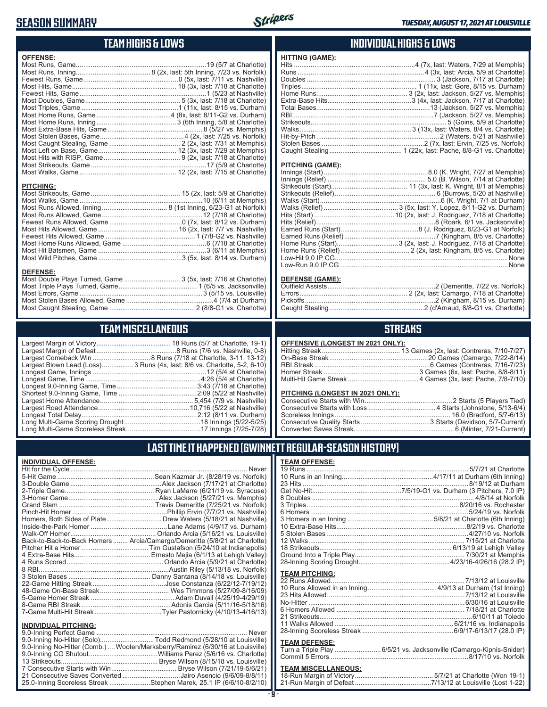#### **SEASON SUMMARY**



#### **TEAM HIGHS & LOWS**

| <b>OFFENSE:</b>  |                                                                 |
|------------------|-----------------------------------------------------------------|
|                  |                                                                 |
|                  |                                                                 |
|                  |                                                                 |
|                  |                                                                 |
|                  |                                                                 |
|                  |                                                                 |
|                  |                                                                 |
|                  |                                                                 |
|                  |                                                                 |
|                  |                                                                 |
|                  |                                                                 |
|                  |                                                                 |
|                  |                                                                 |
|                  |                                                                 |
|                  |                                                                 |
|                  |                                                                 |
|                  |                                                                 |
| <b>PITCHING:</b> |                                                                 |
|                  |                                                                 |
|                  |                                                                 |
|                  |                                                                 |
|                  |                                                                 |
|                  |                                                                 |
|                  |                                                                 |
|                  |                                                                 |
|                  |                                                                 |
|                  |                                                                 |
|                  |                                                                 |
|                  |                                                                 |
|                  |                                                                 |
|                  |                                                                 |
| <b>DEFENSE:</b>  | Most Double Plays Turned, Game  3 (5x, last: 7/16 at Charlotte) |

#### **INDIVIDUAL HIGHS & LOWS**

| <b>HITTING (GAME):</b> |  |
|------------------------|--|
|                        |  |
|                        |  |
|                        |  |
|                        |  |
|                        |  |
|                        |  |
|                        |  |
|                        |  |
|                        |  |
|                        |  |
|                        |  |
|                        |  |
|                        |  |

#### **PITCHING (GAME):**

| Low-Run 9.0 IP CG …………………………………………………………………………………None |
|-------------------------------------------------------|

#### **DEFENSE (GAME):**

#### **STREAKS**

| OFFENSIVE (LONGEST IN 2021 ONLY): |  |  |
|-----------------------------------|--|--|
|-----------------------------------|--|--|

#### **PITCHING (LONGEST IN 2021 ONLY):**

#### **LAST TIME IT HAPPENED (GWINNETT REGULAR-SEASON HISTORY)**

#### **TEAM OFFENSE:**

| <b>TEAM PITCHING:</b> |  |
|-----------------------|--|
|                       |  |
|                       |  |
|                       |  |
|                       |  |
|                       |  |
|                       |  |
|                       |  |
|                       |  |
|                       |  |

#### **TEAM DEFENSE:**

|  | Turn a Triple Play 6/5/21 vs. Jacksonville (Camargo-Kipnis-Snider) |
|--|--------------------------------------------------------------------|
|  |                                                                    |

### **TEAM MISCELLANEOUS:**<br>18-Run Margin of Victory....

#### Largest Margin of Victory........................................ 18 Runs (5/7 at Charlotte, 19-1)

**TEAM MISCELLANEOUS**

Most Triple Plays Turned, Game .......................................... 1 (6/5 vs. Jacksonville) Most Errors, Game ..................................................................3 (5/15 vs. Louisville) Most Stolen Bases Allowed, Game ...............................................4 (7/4 at Durham) Most Caught Stealing, Game .............................................. 2 (8/8-G1 vs. Charlotte)

| Largest Blown Lead (Loss)3 Runs (4x, last: 8/6 vs. Charlotte, 5-2, 6-10) |
|--------------------------------------------------------------------------|
|                                                                          |
| Longest Game, Time……………………………………………………4:26 (5/4 at Charlotte)            |
|                                                                          |
|                                                                          |
|                                                                          |
|                                                                          |
|                                                                          |
|                                                                          |
|                                                                          |
|                                                                          |

#### **INDIVIDUAL OFFENSE:**

|                       | Back-to-Back-to-Back Homers  Arcia/Camargo/Demeritte (5/8/21 at Charlotte) |
|-----------------------|----------------------------------------------------------------------------|
|                       |                                                                            |
|                       |                                                                            |
|                       |                                                                            |
|                       |                                                                            |
|                       |                                                                            |
|                       |                                                                            |
|                       |                                                                            |
|                       |                                                                            |
|                       |                                                                            |
|                       |                                                                            |
|                       |                                                                            |
| INDIVIDITAL PITCHING. |                                                                            |

#### **INDIVIDUAL PITCHING:**

| 9.0-Inning No-Hitter (Solo)Todd Redmond (5/28/10 at Louisville)                |
|--------------------------------------------------------------------------------|
| 9.0-Inning No-Hitter (Comb.) Wooten/Marksberry/Ramirez (6/30/16 at Louisville) |
|                                                                                |
|                                                                                |
|                                                                                |
| 21 Consecutive Saves Converted Jairo Asencio (9/6/09-8/8/11)                   |
| 25.0-Inning Scoreless Streak Stephen Marek, 25.1 IP (6/6/10-8/2/10)            |